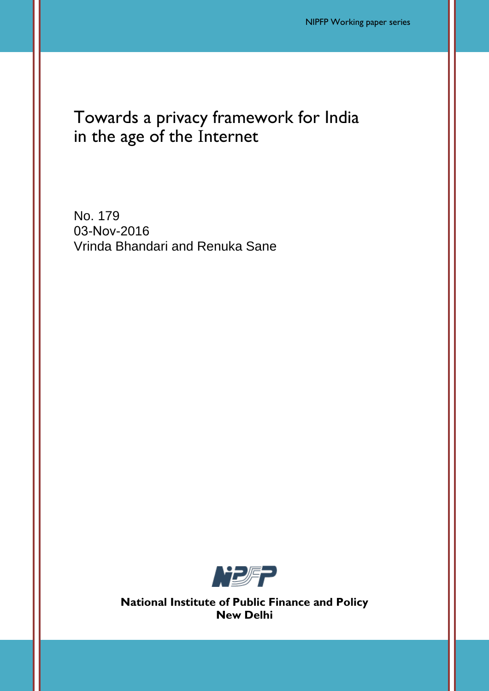# Towards a privacy framework for India in the age of the Internet

No. 179 03-Nov-2016 Vrinda Bhandari and Renuka Sane



**National Institute of Public Finance and Policy New Delhi**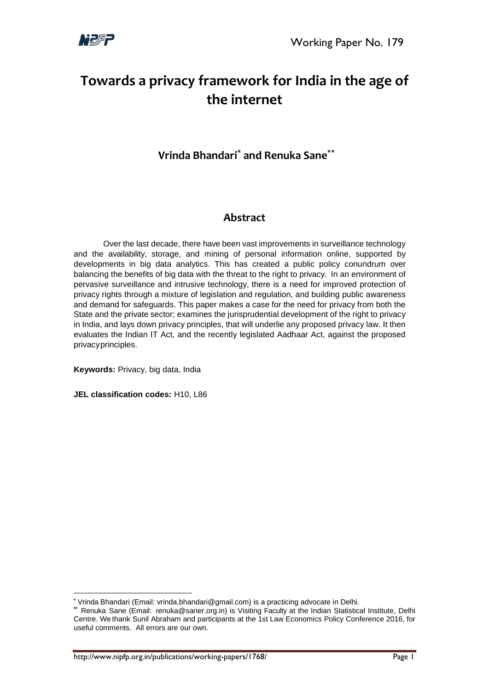

## **Towards a privacy framework for India in the age of the internet**

### **Vrinda Bhandari\* and Renuka Sane\*\***

### **Abstract**

Over the last decade, there have been vast improvements in surveillance technology and the availability, storage, and mining of personal information online, supported by developments in big data analytics. This has created a public policy conundrum over balancing the benefits of big data with the threat to the right to privacy. In an environment of pervasive surveillance and intrusive technology, there is a need for improved protection of privacy rights through a mixture of legislation and regulation, and building public awareness and demand for safeguards. This paper makes a case for the need for privacy from both the State and the private sector; examines the jurisprudential development of the right to privacy in India, and lays down privacy principles, that will underlie any proposed privacy law. It then evaluates the Indian IT Act, and the recently legislated Aadhaar Act, against the proposed privacyprinciples.

**Keywords:** Privacy, big data, India

**JEL classification codes:** H10, L86

 $\overline{a}$ **\*** Vrinda Bhandari (Email: vrinda.bhandari@gmail.com) is a practicing advocate in Delhi.

**<sup>\*\*</sup>** Renuka Sane (Email: renuka@saner.org.in) is Visiting Faculty at the Indian Statistical Institute, Delhi Centre. We thank Sunil Abraham and participants at the 1st Law Economics Policy Conference 2016, for useful comments. All errors are our own.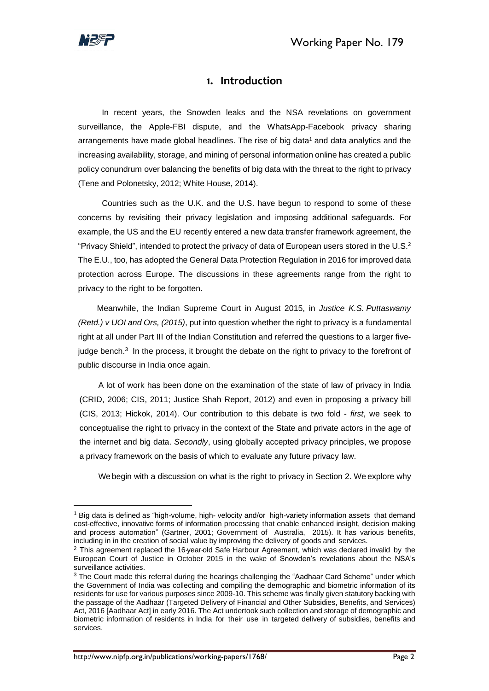

 $\overline{a}$ 

### **1. Introduction**

In recent years, the Snowden leaks and the NSA revelations on government surveillance, the Apple-FBI dispute, and the WhatsApp-Facebook privacy sharing arrangements have made global headlines. The rise of big data<sup>1</sup> and data analytics and the increasing availability, storage, and mining of personal information online has created a public policy conundrum over balancing the benefits of big data with the threat to the right to privacy (Tene and Polonetsky, 2012; White House, 2014).

Countries such as the U.K. and the U.S. have begun to respond to some of these concerns by revisiting their privacy legislation and imposing additional safeguards. For example, the US and the EU recently entered a new data transfer framework agreement, the "Privacy Shield", intended to protect the privacy of data of European users stored in the U.S. $2$ The E.U., too, has adopted the General Data Protection Regulation in 2016 for improved data protection across Europe. The discussions in these agreements range from the right to privacy to the right to be forgotten.

Meanwhile, the Indian Supreme Court in August 2015, in *Justice K.S. Puttaswamy (Retd.) v UOI and Ors, (2015)*, put into question whether the right to privacy is a fundamental right at all under Part III of the Indian Constitution and referred the questions to a larger fivejudge bench.<sup>3</sup> In the process, it brought the debate on the right to privacy to the forefront of public discourse in India once again.

A lot of work has been done on the examination of the state of law of privacy in India (CRID, 2006; CIS, 2011; Justice Shah Report, 2012) and even in proposing a privacy bill (CIS, 2013; Hickok, 2014). Our contribution to this debate is two fold - *first*, we seek to conceptualise the right to privacy in the context of the State and private actors in the age of the internet and big data. *Secondly*, using globally accepted privacy principles, we propose a privacy framework on the basis of which to evaluate any future privacy law.

We begin with a discussion on what is the right to privacy in Section 2. We explore why

<sup>1</sup> Big data is defined as "high-volume, high- velocity and/or high-variety information assets that demand cost-effective, innovative forms of information processing that enable enhanced insight, decision making and process automation" (Gartner, 2001; Government of Australia, 2015). It has various benefits, including in in the creation of social value by improving the delivery of goods and services.

<sup>&</sup>lt;sup>2</sup> This agreement replaced the 16-year-old Safe Harbour Agreement, which was declared invalid by the European Court of Justice in October 2015 in the wake of Snowden's revelations about the NSA's surveillance activities.

<sup>&</sup>lt;sup>3</sup> The Court made this referral during the hearings challenging the "Aadhaar Card Scheme" under which the Government of India was collecting and compiling the demographic and biometric information of its residents for use for various purposes since 2009-10. This scheme was finally given statutory backing with the passage of the Aadhaar (Targeted Delivery of Financial and Other Subsidies, Benefits, and Services) Act, 2016 [Aadhaar Act] in early 2016. The Act undertook such collection and storage of demographic and biometric information of residents in India for their use in targeted delivery of subsidies, benefits and services.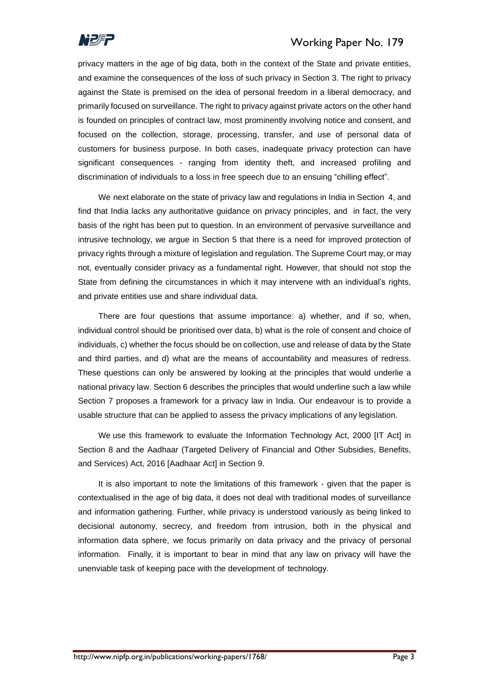

privacy matters in the age of big data, both in the context of the State and private entities, and examine the consequences of the loss of such privacy in Section 3. The right to privacy against the State is premised on the idea of personal freedom in a liberal democracy, and primarily focused on surveillance. The right to privacy against private actors on the other hand is founded on principles of contract law, most prominently involving notice and consent, and focused on the collection, storage, processing, transfer, and use of personal data of customers for business purpose. In both cases, inadequate privacy protection can have significant consequences - ranging from identity theft, and increased profiling and discrimination of individuals to a loss in free speech due to an ensuing "chilling effect".

We next elaborate on the state of privacy law and regulations in India in Section 4, and find that India lacks any authoritative guidance on privacy principles, and in fact, the very basis of the right has been put to question. In an environment of pervasive surveillance and intrusive technology, we argue in Section 5 that there is a need for improved protection of privacy rights through a mixture of legislation and regulation. The Supreme Court may, or may not, eventually consider privacy as a fundamental right. However, that should not stop the State from defining the circumstances in which it may intervene with an individual's rights, and private entities use and share individual data.

There are four questions that assume importance: a) whether, and if so, when, individual control should be prioritised over data, b) what is the role of consent and choice of individuals, c) whether the focus should be on collection, use and release of data by the State and third parties, and d) what are the means of accountability and measures of redress. These questions can only be answered by looking at the principles that would underlie a national privacy law. Section 6 describes the principles that would underline such a law while Section 7 proposes a framework for a privacy law in India. Our endeavour is to provide a usable structure that can be applied to assess the privacy implications of any legislation.

We use this framework to evaluate the Information Technology Act, 2000 [IT Act] in Section 8 and the Aadhaar (Targeted Delivery of Financial and Other Subsidies, Benefits, and Services) Act, 2016 [Aadhaar Act] in Section 9.

It is also important to note the limitations of this framework - given that the paper is contextualised in the age of big data, it does not deal with traditional modes of surveillance and information gathering. Further, while privacy is understood variously as being linked to decisional autonomy, secrecy, and freedom from intrusion, both in the physical and information data sphere, we focus primarily on data privacy and the privacy of personal information. Finally, it is important to bear in mind that any law on privacy will have the unenviable task of keeping pace with the development of technology.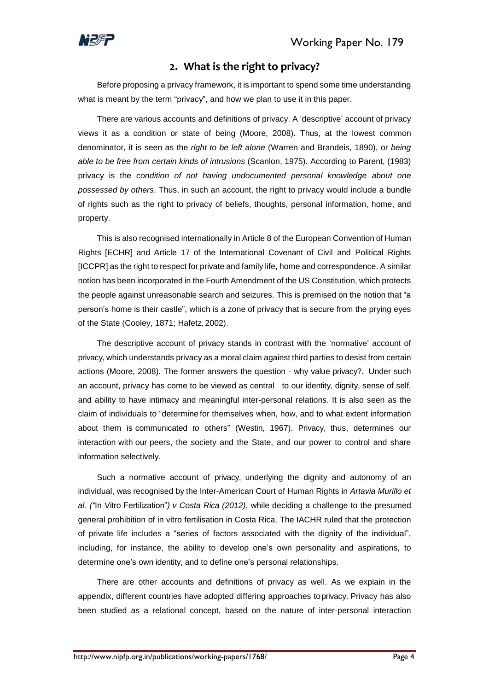

## **2. What is the right to privacy?**

Before proposing a privacy framework, it is important to spend some time understanding what is meant by the term "privacy", and how we plan to use it in this paper.

There are various accounts and definitions of privacy. A 'descriptive' account of privacy views it as a condition or state of being (Moore, 2008). Thus, at the lowest common denominator, it is seen as the *right to be left alone* (Warren and Brandeis, 1890), or *being able to be free from certain kinds of intrusions* (Scanlon, 1975). According to Parent, (1983) privacy is the *condition of not having undocumented personal knowledge about one possessed by others*. Thus, in such an account, the right to privacy would include a bundle of rights such as the right to privacy of beliefs, thoughts, personal information, home, and property.

This is also recognised internationally in Article 8 of the European Convention of Human Rights [ECHR] and Article 17 of the International Covenant of Civil and Political Rights [ICCPR] as the right to respect for private and family life, home and correspondence. A similar notion has been incorporated in the Fourth Amendment of the US Constitution, which protects the people against unreasonable search and seizures. This is premised on the notion that "a person's home is their castle", which is a zone of privacy that is secure from the prying eyes of the State (Cooley, 1871; Hafetz, 2002).

The descriptive account of privacy stands in contrast with the 'normative' account of privacy, which understands privacy as a moral claim against third parties to desist from certain actions (Moore, 2008). The former answers the question - why value privacy?. Under such an account, privacy has come to be viewed as central to our identity, dignity, sense of self, and ability to have intimacy and meaningful inter-personal relations. It is also seen as the claim of individuals to "determine for themselves when, how, and to what extent information about them is communicated *to* others" (Westin, 1967). Privacy, thus, determines our interaction with our peers, the society and the State, and our power to control and share information selectively.

Such a normative account of privacy, underlying the dignity and autonomy of an individual, was recognised by the Inter-American Court of Human Rights in *Artavia Murillo et al. ("*In Vitro Fertilization"*) v Costa Rica (2012)*, while deciding a challenge to the presumed general prohibition of in vitro fertilisation in Costa Rica. The IACHR ruled that the protection of private life includes a "series of factors associated with the dignity of the individual", including, for instance, the ability to develop one's own personality and aspirations, to determine one's own identity, and to define one's personal relationships.

There are other accounts and definitions of privacy as well. As we explain in the appendix, different countries have adopted differing approaches toprivacy. Privacy has also been studied as a relational concept, based on the nature of inter-personal interaction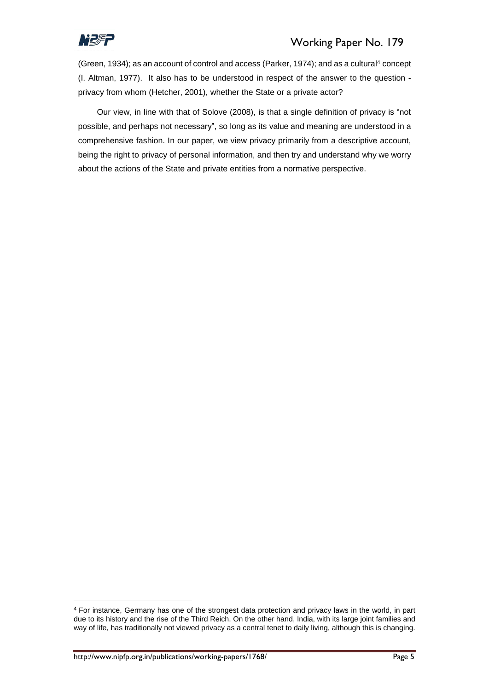

(Green, 1934); as an account of control and access (Parker, 1974); and as a cultural<sup>4</sup> concept (I. Altman, 1977). It also has to be understood in respect of the answer to the question privacy from whom (Hetcher, 2001), whether the State or a private actor?

Our view, in line with that of Solove (2008), is that a single definition of privacy is "not possible, and perhaps not necessary", so long as its value and meaning are understood in a comprehensive fashion. In our paper, we view privacy primarily from a descriptive account, being the right to privacy of personal information, and then try and understand why we worry about the actions of the State and private entities from a normative perspective.

<sup>4</sup> For instance, Germany has one of the strongest data protection and privacy laws in the world, in part due to its history and the rise of the Third Reich. On the other hand, India, with its large joint families and way of life, has traditionally not viewed privacy as a central tenet to daily living, although this is changing.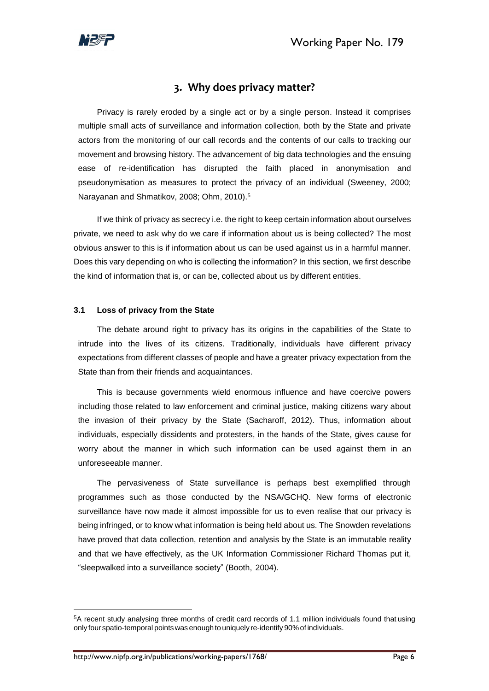

### **3. Why does privacy matter?**

Privacy is rarely eroded by a single act or by a single person. Instead it comprises multiple small acts of surveillance and information collection, both by the State and private actors from the monitoring of our call records and the contents of our calls to tracking our movement and browsing history. The advancement of big data technologies and the ensuing ease of re-identification has disrupted the faith placed in anonymisation and pseudonymisation as measures to protect the privacy of an individual (Sweeney, 2000; Narayanan and Shmatikov, 2008; Ohm, 2010). 5

If we think of privacy as secrecy i.e. the right to keep certain information about ourselves private, we need to ask why do we care if information about us is being collected? The most obvious answer to this is if information about us can be used against us in a harmful manner. Does this vary depending on who is collecting the information? In this section, we first describe the kind of information that is, or can be, collected about us by different entities.

### **3.1 Loss of privacy from the State**

The debate around right to privacy has its origins in the capabilities of the State to intrude into the lives of its citizens. Traditionally, individuals have different privacy expectations from different classes of people and have a greater privacy expectation from the State than from their friends and acquaintances.

This is because governments wield enormous influence and have coercive powers including those related to law enforcement and criminal justice, making citizens wary about the invasion of their privacy by the State (Sacharoff, 2012). Thus, information about individuals, especially dissidents and protesters, in the hands of the State, gives cause for worry about the manner in which such information can be used against them in an unforeseeable manner.

The pervasiveness of State surveillance is perhaps best exemplified through programmes such as those conducted by the NSA/GCHQ. New forms of electronic surveillance have now made it almost impossible for us to even realise that our privacy is being infringed, or to know what information is being held about us. The Snowden revelations have proved that data collection, retention and analysis by the State is an immutable reality and that we have effectively, as the UK Information Commissioner Richard Thomas put it, "sleepwalked into a surveillance society" (Booth, 2004).

<sup>5</sup>A recent study analysing three months of credit card records of 1.1 million individuals found that using only four spatio-temporal points was enough to uniquely re-identify 90% of individuals.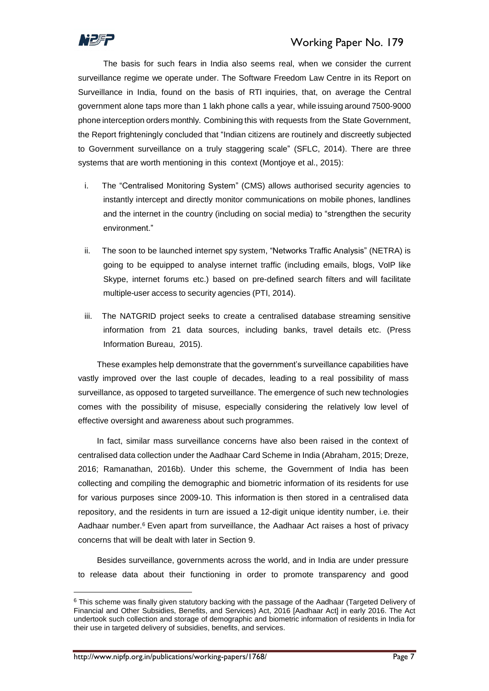

The basis for such fears in India also seems real, when we consider the current surveillance regime we operate under. The Software Freedom Law Centre in its Report on Surveillance in India, found on the basis of RTI inquiries, that, on average the Central government alone taps more than 1 lakh phone calls a year, while issuing around 7500-9000 phone interception orders monthly. Combining this with requests from the State Government, the Report frighteningly concluded that "Indian citizens are routinely and discreetly subjected to Government surveillance on a truly staggering scale" (SFLC, 2014). There are three systems that are worth mentioning in this context (Montjoye et al., 2015):

- i. The "Centralised Monitoring System" (CMS) allows authorised security agencies to instantly intercept and directly monitor communications on mobile phones, landlines and the internet in the country (including on social media) to "strengthen the security environment."
- ii. The soon to be launched internet spy system, "Networks Traffic Analysis" (NETRA) is going to be equipped to analyse internet traffic (including emails, blogs, VoIP like Skype, internet forums etc.) based on pre-defined search filters and will facilitate multiple-user access to security agencies (PTI, 2014).
- iii. The NATGRID project seeks to create a centralised database streaming sensitive information from 21 data sources, including banks, travel details etc. (Press Information Bureau, 2015).

These examples help demonstrate that the government's surveillance capabilities have vastly improved over the last couple of decades, leading to a real possibility of mass surveillance, as opposed to targeted surveillance. The emergence of such new technologies comes with the possibility of misuse, especially considering the relatively low level of effective oversight and awareness about such programmes.

In fact, similar mass surveillance concerns have also been raised in the context of centralised data collection under the Aadhaar Card Scheme in India (Abraham, 2015; Dreze, 2016; Ramanathan, 2016b). Under this scheme, the Government of India has been collecting and compiling the demographic and biometric information of its residents for use for various purposes since 2009-10. This information is then stored in a centralised data repository, and the residents in turn are issued a 12-digit unique identity number, i.e. their Aadhaar number.<sup>6</sup> Even apart from surveillance, the Aadhaar Act raises a host of privacy concerns that will be dealt with later in Section 9.

Besides surveillance, governments across the world, and in India are under pressure to release data about their functioning in order to promote transparency and good

<sup>&</sup>lt;sup>6</sup> This scheme was finally given statutory backing with the passage of the Aadhaar (Targeted Delivery of Financial and Other Subsidies, Benefits, and Services) Act, 2016 [Aadhaar Act] in early 2016. The Act undertook such collection and storage of demographic and biometric information of residents in India for their use in targeted delivery of subsidies, benefits, and services.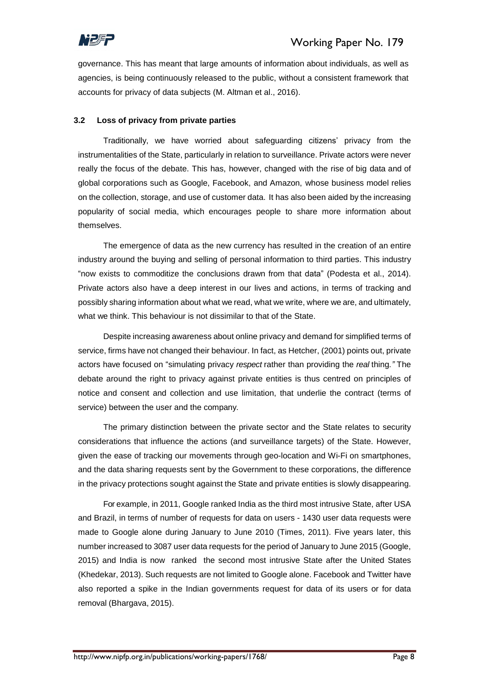

governance. This has meant that large amounts of information about individuals, as well as agencies, is being continuously released to the public, without a consistent framework that accounts for privacy of data subjects (M. Altman et al., 2016).

### **3.2 Loss of privacy from private parties**

Traditionally, we have worried about safeguarding citizens' privacy from the instrumentalities of the State, particularly in relation to surveillance. Private actors were never really the focus of the debate. This has, however, changed with the rise of big data and of global corporations such as Google, Facebook, and Amazon, whose business model relies on the collection, storage, and use of customer data. It has also been aided by the increasing popularity of social media, which encourages people to share more information about themselves.

The emergence of data as the new currency has resulted in the creation of an entire industry around the buying and selling of personal information to third parties. This industry "now exists to commoditize the conclusions drawn from that data" (Podesta et al., 2014). Private actors also have a deep interest in our lives and actions, in terms of tracking and possibly sharing information about what we read, what we write, where we are, and ultimately, what we think. This behaviour is not dissimilar to that of the State.

Despite increasing awareness about online privacy and demand for simplified terms of service, firms have not changed their behaviour. In fact, as Hetcher, (2001) points out, private actors have focused on "simulating privacy *respect* rather than providing the *real* thing*."* The debate around the right to privacy against private entities is thus centred on principles of notice and consent and collection and use limitation, that underlie the contract (terms of service) between the user and the company.

The primary distinction between the private sector and the State relates to security considerations that influence the actions (and surveillance targets) of the State. However, given the ease of tracking our movements through geo-location and Wi-Fi on smartphones, and the data sharing requests sent by the Government to these corporations, the difference in the privacy protections sought against the State and private entities is slowly disappearing.

For example, in 2011, Google ranked India as the third most intrusive State, after USA and Brazil, in terms of number of requests for data on users - 1430 user data requests were made to Google alone during January to June 2010 (Times, 2011). Five years later, this number increased to 3087 user data requests for the period of January to June 2015 (Google, 2015) and India is now ranked the second most intrusive State after the United States (Khedekar, 2013). Such requests are not limited to Google alone. Facebook and Twitter have also reported a spike in the Indian governments request for data of its users or for data removal (Bhargava, 2015).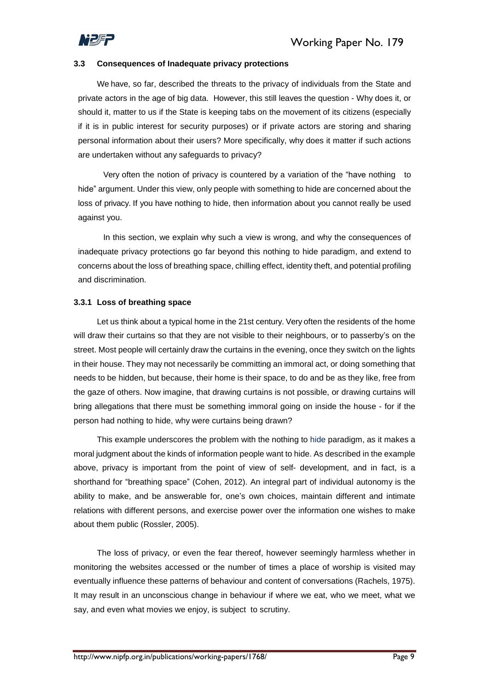

### **3.3 Consequences of Inadequate privacy protections**

We have, so far, described the threats to the privacy of individuals from the State and private actors in the age of big data. However, this still leaves the question - Why does it, or should it, matter to us if the State is keeping tabs on the movement of its citizens (especially if it is in public interest for security purposes) or if private actors are storing and sharing personal information about their users? More specifically, why does it matter if such actions are undertaken without any safeguards to privacy?

Very often the notion of privacy is countered by a variation of the "have nothing to hide" argument. Under this view, only people with something to hide are concerned about the loss of privacy. If you have nothing to hide, then information about you cannot really be used against you.

In this section, we explain why such a view is wrong, and why the consequences of inadequate privacy protections go far beyond this nothing to hide paradigm, and extend to concerns about the loss of breathing space, chilling effect, identity theft, and potential profiling and discrimination.

#### **3.3.1 Loss of breathing space**

Let us think about a typical home in the 21st century. Very often the residents of the home will draw their curtains so that they are not visible to their neighbours, or to passerby's on the street. Most people will certainly draw the curtains in the evening, once they switch on the lights in their house. They may not necessarily be committing an immoral act, or doing something that needs to be hidden, but because, their home is their space, to do and be as they like, free from the gaze of others. Now imagine, that drawing curtains is not possible, or drawing curtains will bring allegations that there must be something immoral going on inside the house - for if the person had nothing to hide, why were curtains being drawn?

This example underscores the problem with the nothing to hide paradigm, as it makes a moral judgment about the kinds of information people want to hide. As described in the example above, privacy is important from the point of view of self- development, and in fact, is a shorthand for "breathing space" (Cohen, 2012). An integral part of individual autonomy is the ability to make, and be answerable for, one's own choices, maintain different and intimate relations with different persons, and exercise power over the information one wishes to make about them public (Rossler, 2005).

The loss of privacy, or even the fear thereof, however seemingly harmless whether in monitoring the websites accessed or the number of times a place of worship is visited may eventually influence these patterns of behaviour and content of conversations (Rachels, 1975). It may result in an unconscious change in behaviour if where we eat, who we meet, what we say, and even what movies we enjoy, is subject to scrutiny.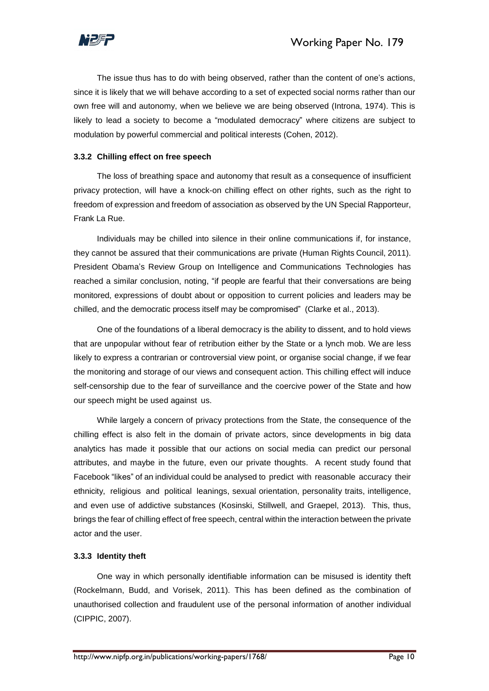

The issue thus has to do with being observed, rather than the content of one's actions, since it is likely that we will behave according to a set of expected social norms rather than our own free will and autonomy, when we believe we are being observed (Introna, 1974). This is likely to lead a society to become a "modulated democracy" where citizens are subject to modulation by powerful commercial and political interests (Cohen, 2012).

### **3.3.2 Chilling effect on free speech**

The loss of breathing space and autonomy that result as a consequence of insufficient privacy protection, will have a knock-on chilling effect on other rights, such as the right to freedom of expression and freedom of association as observed by the UN Special Rapporteur, Frank La Rue.

Individuals may be chilled into silence in their online communications if, for instance, they cannot be assured that their communications are private (Human Rights Council, 2011). President Obama's Review Group on Intelligence and Communications Technologies has reached a similar conclusion, noting, "if people are fearful that their conversations are being monitored, expressions of doubt about or opposition to current policies and leaders may be chilled, and the democratic process itself may be compromised" (Clarke et al., 2013).

One of the foundations of a liberal democracy is the ability to dissent, and to hold views that are unpopular without fear of retribution either by the State or a lynch mob. We are less likely to express a contrarian or controversial view point, or organise social change, if we fear the monitoring and storage of our views and consequent action. This chilling effect will induce self-censorship due to the fear of surveillance and the coercive power of the State and how our speech might be used against us.

While largely a concern of privacy protections from the State, the consequence of the chilling effect is also felt in the domain of private actors, since developments in big data analytics has made it possible that our actions on social media can predict our personal attributes, and maybe in the future, even our private thoughts. A recent study found that Facebook "likes" of an individual could be analysed to predict with reasonable accuracy their ethnicity, religious and political leanings, sexual orientation, personality traits, intelligence, and even use of addictive substances (Kosinski, Stillwell, and Graepel, 2013). This, thus, brings the fear of chilling effect of free speech, central within the interaction between the private actor and the user.

### **3.3.3 Identity theft**

One way in which personally identifiable information can be misused is identity theft (Rockelmann, Budd, and Vorisek, 2011). This has been defined as the combination of unauthorised collection and fraudulent use of the personal information of another individual (CIPPIC, 2007).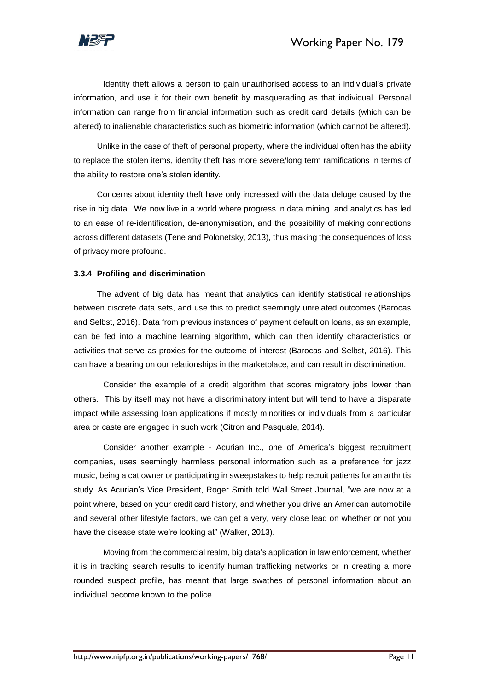

Identity theft allows a person to gain unauthorised access to an individual's private information, and use it for their own benefit by masquerading as that individual. Personal information can range from financial information such as credit card details (which can be altered) to inalienable characteristics such as biometric information (which cannot be altered).

Unlike in the case of theft of personal property, where the individual often has the ability to replace the stolen items, identity theft has more severe/long term ramifications in terms of the ability to restore one's stolen identity.

Concerns about identity theft have only increased with the data deluge caused by the rise in big data. We now live in a world where progress in data mining and analytics has led to an ease of re-identification, de-anonymisation, and the possibility of making connections across different datasets (Tene and Polonetsky, 2013), thus making the consequences of loss of privacy more profound.

### **3.3.4 Profiling and discrimination**

The advent of big data has meant that analytics can identify statistical relationships between discrete data sets, and use this to predict seemingly unrelated outcomes (Barocas and Selbst, 2016). Data from previous instances of payment default on loans, as an example, can be fed into a machine learning algorithm, which can then identify characteristics or activities that serve as proxies for the outcome of interest (Barocas and Selbst, 2016). This can have a bearing on our relationships in the marketplace, and can result in discrimination.

Consider the example of a credit algorithm that scores migratory jobs lower than others. This by itself may not have a discriminatory intent but will tend to have a disparate impact while assessing loan applications if mostly minorities or individuals from a particular area or caste are engaged in such work (Citron and Pasquale, 2014).

Consider another example - Acurian Inc., one of America's biggest recruitment companies, uses seemingly harmless personal information such as a preference for jazz music, being a cat owner or participating in sweepstakes to help recruit patients for an arthritis study. As Acurian's Vice President, Roger Smith told Wall Street Journal, "we are now at a point where, based on your credit card history, and whether you drive an American automobile and several other lifestyle factors, we can get a very, very close lead on whether or not you have the disease state we're looking at" (Walker, 2013).

Moving from the commercial realm, big data's application in law enforcement, whether it is in tracking search results to identify human trafficking networks or in creating a more rounded suspect profile, has meant that large swathes of personal information about an individual become known to the police.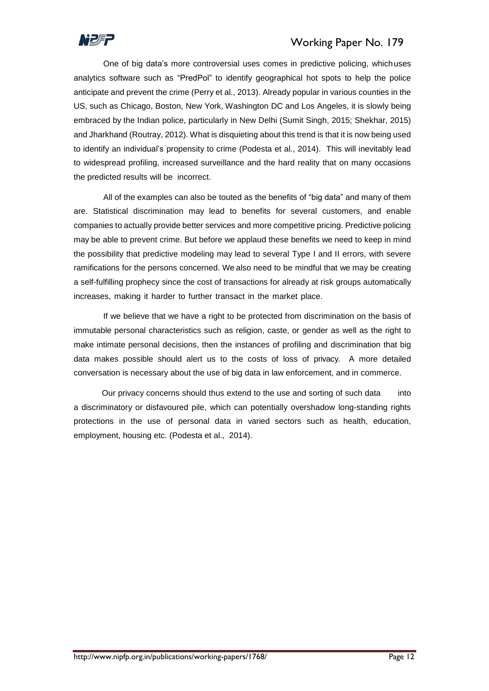

One of big data's more controversial uses comes in predictive policing, whichuses analytics software such as "PredPol" to identify geographical hot spots to help the police anticipate and prevent the crime (Perry et al., 2013). Already popular in various counties in the US, such as Chicago, Boston, New York, Washington DC and Los Angeles, it is slowly being embraced by the Indian police, particularly in New Delhi (Sumit Singh, 2015; Shekhar, 2015) and Jharkhand (Routray, 2012). What is disquieting about this trend is that it is now being used to identify an individual's propensity to crime (Podesta et al., 2014). This will inevitably lead to widespread profiling, increased surveillance and the hard reality that on many occasions the predicted results will be incorrect.

All of the examples can also be touted as the benefits of "big data" and many of them are. Statistical discrimination may lead to benefits for several customers, and enable companies to actually provide better services and more competitive pricing. Predictive policing may be able to prevent crime. But before we applaud these benefits we need to keep in mind the possibility that predictive modeling may lead to several Type I and II errors, with severe ramifications for the persons concerned. We also need to be mindful that we may be creating a self-fulfilling prophecy since the cost of transactions for already at risk groups automatically increases, making it harder to further transact in the market place.

If we believe that we have a right to be protected from discrimination on the basis of immutable personal characteristics such as religion, caste, or gender as well as the right to make intimate personal decisions, then the instances of profiling and discrimination that big data makes possible should alert us to the costs of loss of privacy. A more detailed conversation is necessary about the use of big data in law enforcement, and in commerce.

Our privacy concerns should thus extend to the use and sorting of such data into a discriminatory or disfavoured pile, which can potentially overshadow long-standing rights protections in the use of personal data in varied sectors such as health, education, employment, housing etc. (Podesta et al., 2014).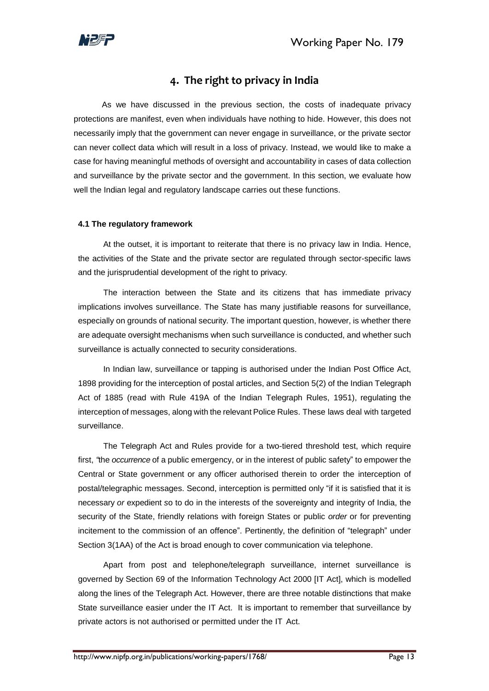

### **4. The right to privacy in India**

As we have discussed in the previous section, the costs of inadequate privacy protections are manifest, even when individuals have nothing to hide. However, this does not necessarily imply that the government can never engage in surveillance, or the private sector can never collect data which will result in a loss of privacy. Instead, we would like to make a case for having meaningful methods of oversight and accountability in cases of data collection and surveillance by the private sector and the government. In this section, we evaluate how well the Indian legal and regulatory landscape carries out these functions.

### **4.1 The regulatory framework**

At the outset, it is important to reiterate that there is no privacy law in India. Hence, the activities of the State and the private sector are regulated through sector-specific laws and the jurisprudential development of the right to privacy.

The interaction between the State and its citizens that has immediate privacy implications involves surveillance. The State has many justifiable reasons for surveillance, especially on grounds of national security. The important question, however, is whether there are adequate oversight mechanisms when such surveillance is conducted, and whether such surveillance is actually connected to security considerations.

In Indian law, surveillance or tapping is authorised under the Indian Post Office Act, 1898 providing for the interception of postal articles, and Section 5(2) of the Indian Telegraph Act of 1885 (read with Rule 419A of the Indian Telegraph Rules, 1951), regulating the interception of messages, along with the relevant Police Rules. These laws deal with targeted surveillance.

The Telegraph Act and Rules provide for a two-tiered threshold test, which require first, *"*the *occurrence* of a public emergency, or in the interest of public safety" to empower the Central or State government or any officer authorised therein to order the interception of postal/telegraphic messages. Second, interception is permitted only "if it is satisfied that it is necessary *or* expedient *s*o to do in the interests of the sovereignty and integrity of India, the security of the State, friendly relations with foreign States or public *order* or for preventing incitement to the commission of an offence". Pertinently, the definition of "telegraph" under Section 3(1AA) of the Act is broad enough to cover communication via telephone.

Apart from post and telephone/telegraph surveillance, internet surveillance is governed by Section 69 of the Information Technology Act 2000 [IT Act], which is modelled along the lines of the Telegraph Act. However, there are three notable distinctions that make State surveillance easier under the IT Act. It is important to remember that surveillance by private actors is not authorised or permitted under the IT Act.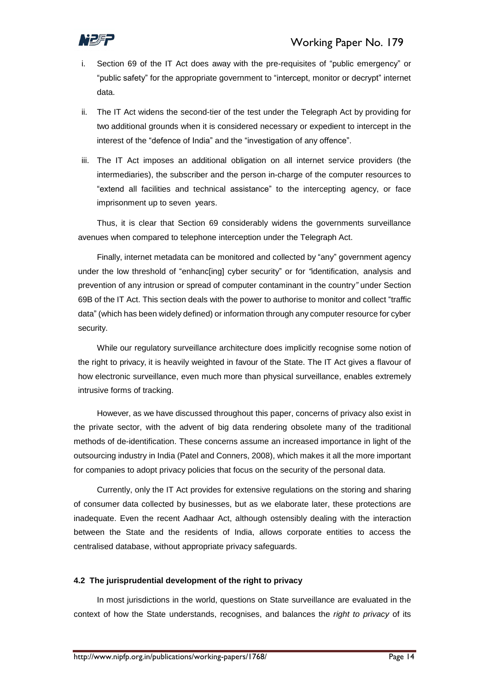

- i. Section 69 of the IT Act does away with the pre-requisites of "public emergency" or "public safety" for the appropriate government to "intercept, monitor or decrypt" internet data.
- ii. The IT Act widens the second-tier of the test under the Telegraph Act by providing for two additional grounds when it is considered necessary or expedient to intercept in the interest of the "defence of India" and the "investigation of any offence".
- iii. The IT Act imposes an additional obligation on all internet service providers (the intermediaries), the subscriber and the person in-charge of the computer resources to "extend all facilities and technical assistance" to the intercepting agency, or face imprisonment up to seven years.

Thus, it is clear that Section 69 considerably widens the governments surveillance avenues when compared to telephone interception under the Telegraph Act.

Finally, internet metadata can be monitored and collected by "any" government agency under the low threshold of "enhanc[ing] cyber security" or for *"*identification, analysis and prevention of any intrusion or spread of computer contaminant in the country*"* under Section 69B of the IT Act. This section deals with the power to authorise to monitor and collect "traffic data" (which has been widely defined) or information through any computer resource for cyber security.

While our regulatory surveillance architecture does implicitly recognise some notion of the right to privacy, it is heavily weighted in favour of the State. The IT Act gives a flavour of how electronic surveillance, even much more than physical surveillance, enables extremely intrusive forms of tracking.

However, as we have discussed throughout this paper, concerns of privacy also exist in the private sector, with the advent of big data rendering obsolete many of the traditional methods of de-identification. These concerns assume an increased importance in light of the outsourcing industry in India (Patel and Conners, 2008), which makes it all the more important for companies to adopt privacy policies that focus on the security of the personal data.

Currently, only the IT Act provides for extensive regulations on the storing and sharing of consumer data collected by businesses, but as we elaborate later, these protections are inadequate. Even the recent Aadhaar Act, although ostensibly dealing with the interaction between the State and the residents of India, allows corporate entities to access the centralised database, without appropriate privacy safeguards.

### **4.2 The jurisprudential development of the right to privacy**

In most jurisdictions in the world, questions on State surveillance are evaluated in the context of how the State understands, recognises, and balances the *right to privacy* of its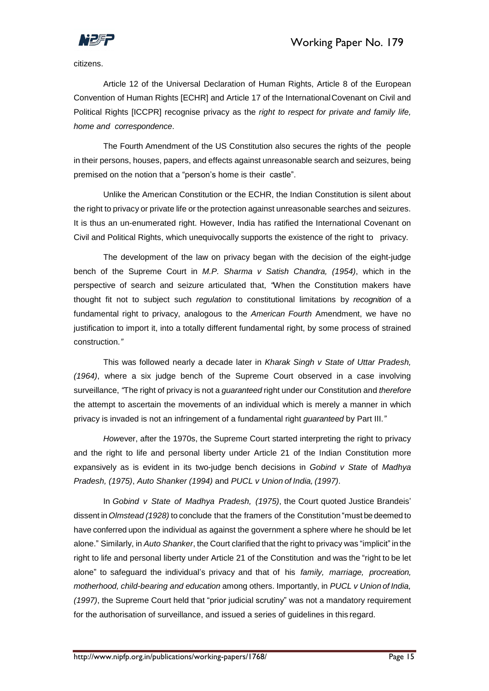



citizens.

Article 12 of the Universal Declaration of Human Rights, Article 8 of the European Convention of Human Rights [ECHR] and Article 17 of the InternationalCovenant on Civil and Political Rights [ICCPR] recognise privacy as the *right to respect for private and family life, home and correspondence*.

The Fourth Amendment of the US Constitution also secures the rights of the people in their persons, houses, papers, and effects against unreasonable search and seizures, being premised on the notion that a "person's home is their castle".

Unlike the American Constitution or the ECHR, the Indian Constitution is silent about the right to privacy or private life or the protection against unreasonable searches and seizures. It is thus an un-enumerated right. However, India has ratified the International Covenant on Civil and Political Rights, which unequivocally supports the existence of the right to privacy.

The development of the law on privacy began with the decision of the eight-judge bench of the Supreme Court in *M.P. Sharma v Satish Chandra, (1954)*, which in the perspective of search and seizure articulated that, *"*When the Constitution makers have thought fit not to subject such *regulation* to constitutional limitations by *recognition* of a fundamental right to privacy, analogous to the *American Fourth* Amendment, we have no justification to import it, into a totally different fundamental right, by some process of strained construction.*"*

This was followed nearly a decade later in *Kharak Singh v State of Uttar Pradesh, (1964)*, where a six judge bench of the Supreme Court observed in a case involving surveillance, *"*The right of privacy is not a *guaranteed* right under our Constitution and *therefore* the attempt to ascertain the movements of an individual which is merely a manner in which privacy is invaded is not an infringement of a fundamental right *guaranteed* by Part III.*"*

*How*ever, after the 1970s, the Supreme Court started interpreting the right to privacy and the right to life and personal liberty under Article 21 of the Indian Constitution more expansively as is evident in its two-judge bench decisions in *Gobind v State* of *Madhya Pradesh, (1975)*, *Auto Shanker (1994)* and *PUCL v Union of India, (1997)*.

In *Gobind v State of Madhya Pradesh, (1975)*, the Court quoted Justice Brandeis' dissent in *Olmstead (1928)* to conclude that the framers of the Constitution "must be deemed to have conferred upon the individual as against the government a sphere where he should be let alone." Similarly, in *Auto Shanker*, the Court clarified that the right to privacy was "implicit" in the right to life and personal liberty under Article 21 of the Constitution and was the "right to be let alone" to safeguard the individual's privacy and that of his *family, marriage, procreation, motherhood, child-bearing and education* among others. Importantly, in *PUCL v Union of India, (1997)*, the Supreme Court held that "prior judicial scrutiny" was not a mandatory requirement for the authorisation of surveillance, and issued a series of guidelines in this regard.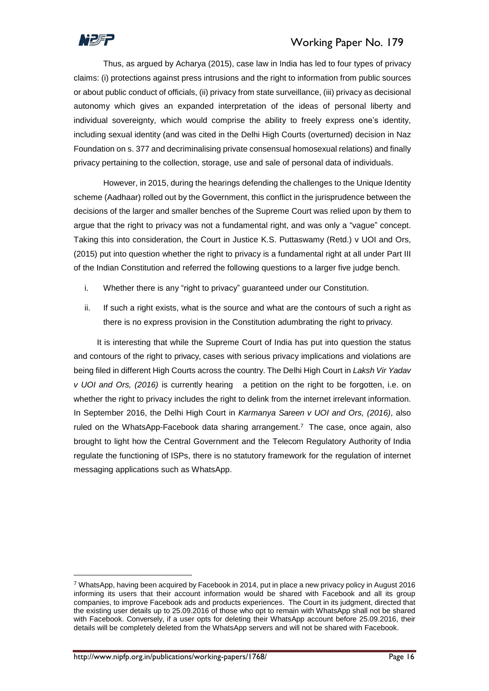

Thus, as argued by Acharya (2015), case law in India has led to four types of privacy claims: (i) protections against press intrusions and the right to information from public sources or about public conduct of officials, (ii) privacy from state surveillance, (iii) privacy as decisional autonomy which gives an expanded interpretation of the ideas of personal liberty and individual sovereignty, which would comprise the ability to freely express one's identity, including sexual identity (and was cited in the Delhi High Courts (overturned) decision in Naz Foundation on s. 377 and decriminalising private consensual homosexual relations) and finally privacy pertaining to the collection, storage, use and sale of personal data of individuals.

However, in 2015, during the hearings defending the challenges to the Unique Identity scheme (Aadhaar) rolled out by the Government, this conflict in the jurisprudence between the decisions of the larger and smaller benches of the Supreme Court was relied upon by them to argue that the right to privacy was not a fundamental right, and was only a "vague" concept. Taking this into consideration, the Court in Justice K.S. Puttaswamy (Retd.) v UOI and Ors, (2015) put into question whether the right to privacy is a fundamental right at all under Part III of the Indian Constitution and referred the following questions to a larger five judge bench.

- i. Whether there is any "right to privacy" guaranteed under our Constitution.
- ii. If such a right exists, what is the source and what are the contours of such a right as there is no express provision in the Constitution adumbrating the right to privacy.

It is interesting that while the Supreme Court of India has put into question the status and contours of the right to privacy, cases with serious privacy implications and violations are being filed in different High Courts across the country. The Delhi High Court in *Laksh Vir Yadav v UOI and Ors, (2016)* is currently hearing a petition on the right to be forgotten, i.e. on whether the right to privacy includes the right to delink from the internet irrelevant information. In September 2016, the Delhi High Court in *Karmanya Sareen v UOI and Ors, (2016)*, also ruled on the WhatsApp-Facebook data sharing arrangement.<sup>7</sup> The case, once again, also brought to light how the Central Government and the Telecom Regulatory Authority of India regulate the functioning of ISPs, there is no statutory framework for the regulation of internet messaging applications such as WhatsApp.

<sup>7</sup> WhatsApp, having been acquired by Facebook in 2014, put in place a new privacy policy in August 2016 informing its users that their account information would be shared with Facebook and all its group companies, to improve Facebook ads and products experiences. The Court in its judgment, directed that the existing user details up to 25.09.2016 of those who opt to remain with WhatsApp shall not be shared with Facebook. Conversely, if a user opts for deleting their WhatsApp account before 25.09.2016, their details will be completely deleted from the WhatsApp servers and will not be shared with Facebook.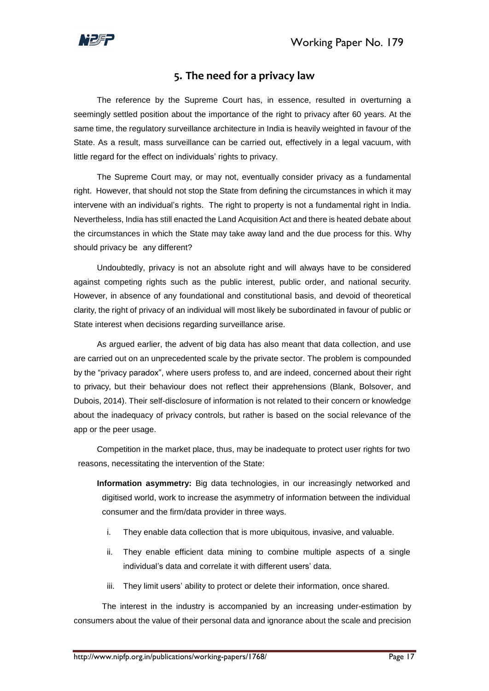

### **5. The need for a privacy law**

The reference by the Supreme Court has, in essence, resulted in overturning a seemingly settled position about the importance of the right to privacy after 60 years. At the same time, the regulatory surveillance architecture in India is heavily weighted in favour of the State. As a result, mass surveillance can be carried out, effectively in a legal vacuum, with little regard for the effect on individuals' rights to privacy.

The Supreme Court may, or may not, eventually consider privacy as a fundamental right. However, that should not stop the State from defining the circumstances in which it may intervene with an individual's rights. The right to property is not a fundamental right in India. Nevertheless, India has still enacted the Land Acquisition Act and there is heated debate about the circumstances in which the State may take away land and the due process for this. Why should privacy be any different?

Undoubtedly, privacy is not an absolute right and will always have to be considered against competing rights such as the public interest, public order, and national security. However, in absence of any foundational and constitutional basis, and devoid of theoretical clarity, the right of privacy of an individual will most likely be subordinated in favour of public or State interest when decisions regarding surveillance arise.

As argued earlier, the advent of big data has also meant that data collection, and use are carried out on an unprecedented scale by the private sector. The problem is compounded by the "privacy paradox", where users profess to, and are indeed, concerned about their right to privacy, but their behaviour does not reflect their apprehensions (Blank, Bolsover, and Dubois, 2014). Their self-disclosure of information is not related to their concern or knowledge about the inadequacy of privacy controls, but rather is based on the social relevance of the app or the peer usage.

Competition in the market place, thus, may be inadequate to protect user rights for two reasons, necessitating the intervention of the State:

**Information asymmetry:** Big data technologies, in our increasingly networked and digitised world, work to increase the asymmetry of information between the individual consumer and the firm/data provider in three ways.

- i. They enable data collection that is more ubiquitous, invasive, and valuable.
- ii. They enable efficient data mining to combine multiple aspects of a single individual's data and correlate it with different users' data.
- iii. They limit users' ability to protect or delete their information, once shared.

The interest in the industry is accompanied by an increasing under-estimation by consumers about the value of their personal data and ignorance about the scale and precision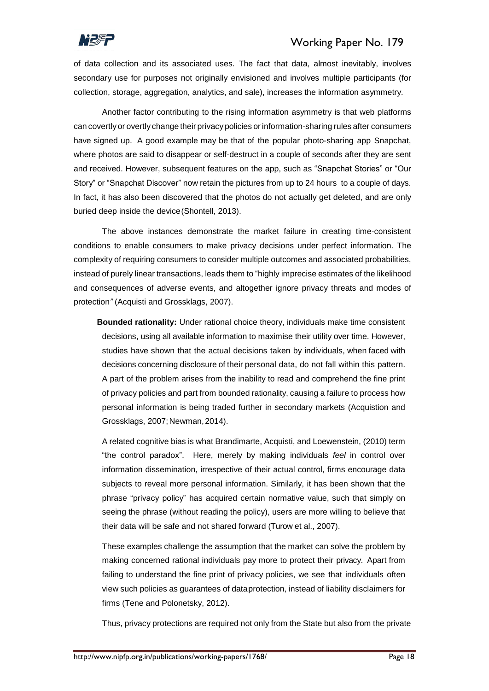### Working Paper No. 179



of data collection and its associated uses. The fact that data, almost inevitably, involves secondary use for purposes not originally envisioned and involves multiple participants (for collection, storage, aggregation, analytics, and sale), increases the information asymmetry.

Another factor contributing to the rising information asymmetry is that web platforms can covertly or overtly change their privacy policies orinformation-sharing rules after consumers have signed up. A good example may be that of the popular photo-sharing app Snapchat, where photos are said to disappear or self-destruct in a couple of seconds after they are sent and received. However, subsequent features on the app, such as "Snapchat Stories" or "Our Story" or "Snapchat Discover" now retain the pictures from up to 24 hours to a couple of days. In fact, it has also been discovered that the photos do not actually get deleted, and are only buried deep inside the device(Shontell, 2013).

The above instances demonstrate the market failure in creating time-consistent conditions to enable consumers to make privacy decisions under perfect information. The complexity of requiring consumers to consider multiple outcomes and associated probabilities, instead of purely linear transactions, leads them to "highly imprecise estimates of the likelihood and consequences of adverse events, and altogether ignore privacy threats and modes of protection*"* (Acquisti and Grossklags, 2007).

**Bounded rationality:** Under rational choice theory, individuals make time consistent decisions, using all available information to maximise their utility over time. However, studies have shown that the actual decisions taken by individuals, when faced with decisions concerning disclosure of their personal data, do not fall within this pattern. A part of the problem arises from the inability to read and comprehend the fine print of privacy policies and part from bounded rationality, causing a failure to process how personal information is being traded further in secondary markets (Acquistion and Grossklags, 2007;Newman,2014).

A related cognitive bias is what Brandimarte, Acquisti, and Loewenstein, (2010) term "the control paradox". Here, merely by making individuals *feel* in control over information dissemination, irrespective of their actual control, firms encourage data subjects to reveal more personal information. Similarly, it has been shown that the phrase "privacy policy" has acquired certain normative value, such that simply on seeing the phrase (without reading the policy), users are more willing to believe that their data will be safe and not shared forward (Turow et al., 2007).

These examples challenge the assumption that the market can solve the problem by making concerned rational individuals pay more to protect their privacy. Apart from failing to understand the fine print of privacy policies, we see that individuals often view such policies as guarantees of dataprotection, instead of liability disclaimers for firms (Tene and Polonetsky, 2012).

Thus, privacy protections are required not only from the State but also from the private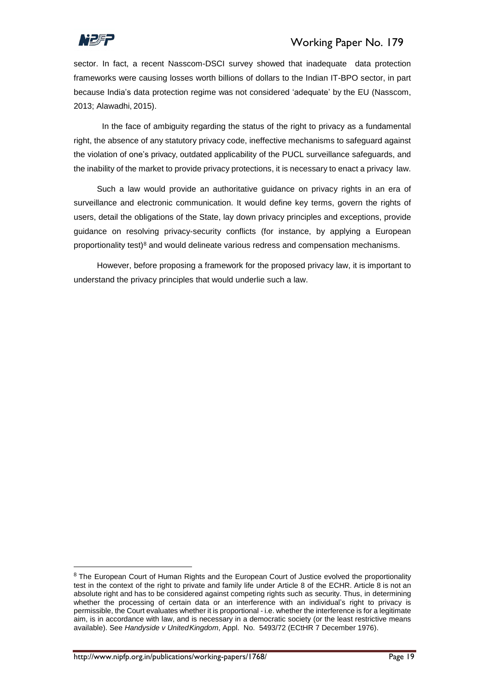

sector. In fact, a recent Nasscom-DSCI survey showed that inadequate data protection frameworks were causing losses worth billions of dollars to the Indian IT-BPO sector, in part because India's data protection regime was not considered 'adequate' by the EU (Nasscom, 2013; Alawadhi, 2015).

In the face of ambiguity regarding the status of the right to privacy as a fundamental right, the absence of any statutory privacy code, ineffective mechanisms to safeguard against the violation of one's privacy, outdated applicability of the PUCL surveillance safeguards, and the inability of the market to provide privacy protections, it is necessary to enact a privacy law.

Such a law would provide an authoritative guidance on privacy rights in an era of surveillance and electronic communication. It would define key terms, govern the rights of users, detail the obligations of the State, lay down privacy principles and exceptions, provide guidance on resolving privacy-security conflicts (for instance, by applying a European proportionality test) $8$  and would delineate various redress and compensation mechanisms.

However, before proposing a framework for the proposed privacy law, it is important to understand the privacy principles that would underlie such a law.

<sup>&</sup>lt;sup>8</sup> The European Court of Human Rights and the European Court of Justice evolved the proportionality test in the context of the right to private and family life under Article 8 of the ECHR. Article 8 is not an absolute right and has to be considered against competing rights such as security. Thus, in determining whether the processing of certain data or an interference with an individual's right to privacy is permissible, the Court evaluates whether it is proportional - i.e. whether the interference is for a legitimate aim, is in accordance with law, and is necessary in a democratic society (or the least restrictive means available). See *Handyside v UnitedKingdom*, Appl. No. 5493/72 (ECtHR 7 December 1976).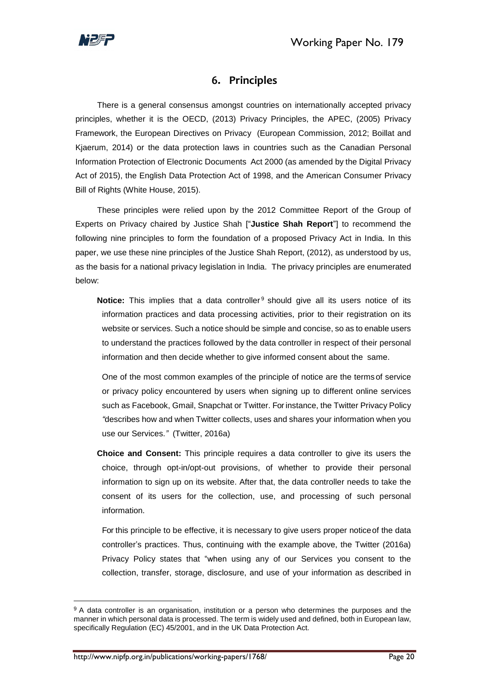

### **6. Principles**

There is a general consensus amongst countries on internationally accepted privacy principles, whether it is the OECD, (2013) Privacy Principles, the APEC, (2005) Privacy Framework, the European Directives on Privacy (European Commission, 2012; Boillat and Kjaerum, 2014) or the data protection laws in countries such as the Canadian Personal Information Protection of Electronic Documents Act 2000 (as amended by the Digital Privacy Act of 2015), the English Data Protection Act of 1998, and the American Consumer Privacy Bill of Rights (White House, 2015).

These principles were relied upon by the 2012 Committee Report of the Group of Experts on Privacy chaired by Justice Shah ["**Justice Shah Report**"] to recommend the following nine principles to form the foundation of a proposed Privacy Act in India. In this paper, we use these nine principles of the Justice Shah Report, (2012), as understood by us, as the basis for a national privacy legislation in India. The privacy principles are enumerated below:

**Notice:** This implies that a data controller<sup>9</sup> should give all its users notice of its information practices and data processing activities, prior to their registration on its website or services. Such a notice should be simple and concise, so as to enable users to understand the practices followed by the data controller in respect of their personal information and then decide whether to give informed consent about the same.

One of the most common examples of the principle of notice are the termsof service or privacy policy encountered by users when signing up to different online services such as Facebook, Gmail, Snapchat or Twitter. For instance, the Twitter Privacy Policy *"*describes how and when Twitter collects, uses and shares your information when you use our Services.*"* (Twitter, 2016a)

**Choice and Consent:** This principle requires a data controller to give its users the choice, through opt-in/opt-out provisions, of whether to provide their personal information to sign up on its website. After that, the data controller needs to take the consent of its users for the collection, use, and processing of such personal information.

For this principle to be effective, it is necessary to give users proper noticeof the data controller's practices. Thus, continuing with the example above, the Twitter (2016a) Privacy Policy states that "when using any of our Services you consent to the collection, transfer, storage, disclosure, and use of your information as described in

<sup>&</sup>lt;sup>9</sup> A data controller is an organisation, institution or a person who determines the purposes and the manner in which personal data is processed. The term is widely used and defined, both in European law, specifically Regulation (EC) 45/2001, and in the UK Data Protection Act.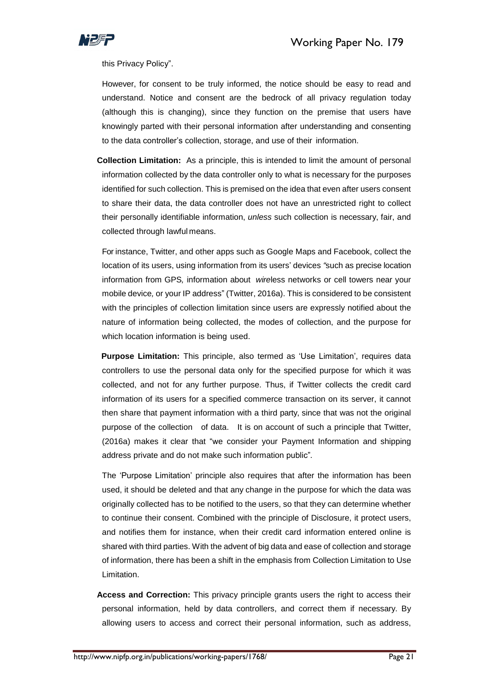

this Privacy Policy".

However, for consent to be truly informed, the notice should be easy to read and understand. Notice and consent are the bedrock of all privacy regulation today (although this is changing), since they function on the premise that users have knowingly parted with their personal information after understanding and consenting to the data controller's collection, storage, and use of their information.

**Collection Limitation:** As a principle, this is intended to limit the amount of personal information collected by the data controller only to what is necessary for the purposes identified for such collection. This is premised on the idea that even after users consent to share their data, the data controller does not have an unrestricted right to collect their personally identifiable information, *unless* such collection is necessary, fair, and collected through lawful means.

For instance, Twitter, and other apps such as Google Maps and Facebook, collect the location of its users, using information from its users' devices *"*such as precise location information from GPS*,* information about *wire*less networks or cell towers near your mobile device*,* or your IP address" (Twitter, 2016a). This is considered to be consistent with the principles of collection limitation since users are expressly notified about the nature of information being collected, the modes of collection, and the purpose for which location information is being used.

 **Purpose Limitation:** This principle, also termed as 'Use Limitation', requires data controllers to use the personal data only for the specified purpose for which it was collected, and not for any further purpose. Thus, if Twitter collects the credit card information of its users for a specified commerce transaction on its server, it cannot then share that payment information with a third party, since that was not the original purpose of the collection of data. It is on account of such a principle that Twitter, (2016a) makes it clear that "we consider your Payment Information and shipping address private and do not make such information public"*.*

The 'Purpose Limitation' principle also requires that after the information has been used, it should be deleted and that any change in the purpose for which the data was originally collected has to be notified to the users, so that they can determine whether to continue their consent. Combined with the principle of Disclosure, it protect users, and notifies them for instance, when their credit card information entered online is shared with third parties. With the advent of big data and ease of collection and storage of information, there has been a shift in the emphasis from Collection Limitation to Use Limitation.

**Access and Correction:** This privacy principle grants users the right to access their personal information, held by data controllers, and correct them if necessary. By allowing users to access and correct their personal information, such as address,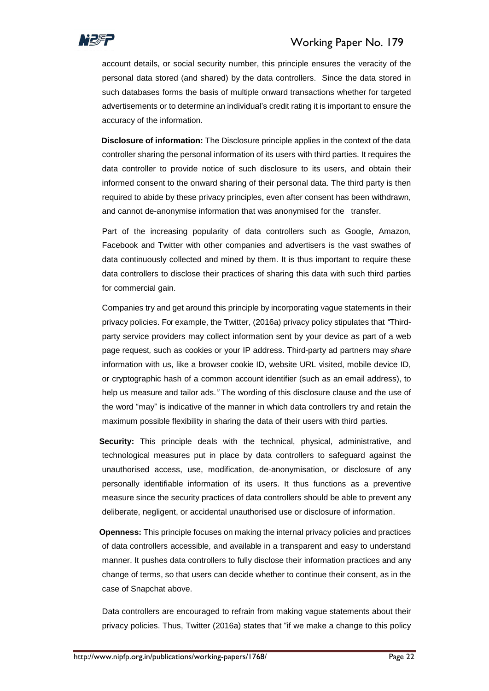account details, or social security number, this principle ensures the veracity of the personal data stored (and shared) by the data controllers. Since the data stored in such databases forms the basis of multiple onward transactions whether for targeted advertisements or to determine an individual's credit rating it is important to ensure the accuracy of the information.

 **Disclosure of information:** The Disclosure principle applies in the context of the data controller sharing the personal information of its users with third parties. It requires the data controller to provide notice of such disclosure to its users, and obtain their informed consent to the onward sharing of their personal data. The third party is then required to abide by these privacy principles, even after consent has been withdrawn, and cannot de-anonymise information that was anonymised for the transfer.

Part of the increasing popularity of data controllers such as Google, Amazon, Facebook and Twitter with other companies and advertisers is the vast swathes of data continuously collected and mined by them. It is thus important to require these data controllers to disclose their practices of sharing this data with such third parties for commercial gain.

Companies try and get around this principle by incorporating vague statements in their privacy policies. For example, the Twitter, (2016a) privacy policy stipulates that *"*Thirdparty service providers may collect information sent by your device as part of a web page request*,* such as cookies or your IP address. Third*-*party ad partners may *share* information with us, like a browser cookie ID, website URL visited, mobile device ID, or cryptographic hash of a common account identifier (such as an email address), to help us measure and tailor ads.*"* The wording of this disclosure clause and the use of the word "may" is indicative of the manner in which data controllers try and retain the maximum possible flexibility in sharing the data of their users with third parties.

**Security:** This principle deals with the technical, physical, administrative, and technological measures put in place by data controllers to safeguard against the unauthorised access, use, modification, de-anonymisation, or disclosure of any personally identifiable information of its users. It thus functions as a preventive measure since the security practices of data controllers should be able to prevent any deliberate, negligent, or accidental unauthorised use or disclosure of information.

**Openness:** This principle focuses on making the internal privacy policies and practices of data controllers accessible, and available in a transparent and easy to understand manner. It pushes data controllers to fully disclose their information practices and any change of terms, so that users can decide whether to continue their consent, as in the case of Snapchat above.

Data controllers are encouraged to refrain from making vague statements about their privacy policies. Thus, Twitter (2016a) states that "if we make a change to this policy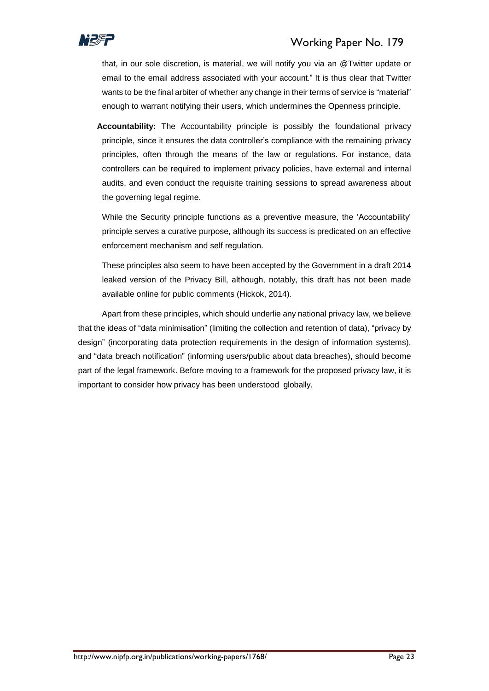that, in our sole discretion, is material, we will notify you via an @Twitter update or email to the email address associated with your account*.*" It is thus clear that Twitter wants to be the final arbiter of whether any change in their terms of service is "material" enough to warrant notifying their users, which undermines the Openness principle.

**Accountability:** The Accountability principle is possibly the foundational privacy principle, since it ensures the data controller's compliance with the remaining privacy principles, often through the means of the law or regulations. For instance, data controllers can be required to implement privacy policies, have external and internal audits, and even conduct the requisite training sessions to spread awareness about the governing legal regime.

While the Security principle functions as a preventive measure, the 'Accountability' principle serves a curative purpose, although its success is predicated on an effective enforcement mechanism and self regulation.

These principles also seem to have been accepted by the Government in a draft 2014 leaked version of the Privacy Bill, although, notably, this draft has not been made available online for public comments (Hickok, 2014).

Apart from these principles, which should underlie any national privacy law, we believe that the ideas of "data minimisation" (limiting the collection and retention of data), "privacy by design" (incorporating data protection requirements in the design of information systems), and "data breach notification" (informing users/public about data breaches), should become part of the legal framework. Before moving to a framework for the proposed privacy law, it is important to consider how privacy has been understood globally.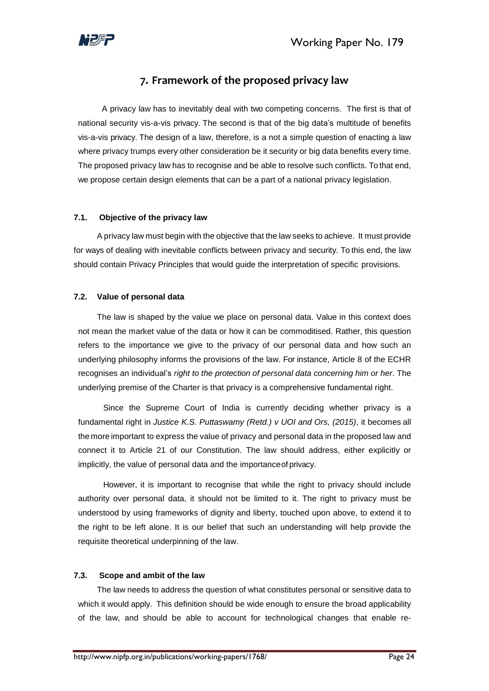

### **7. Framework of the proposed privacy law**

A privacy law has to inevitably deal with two competing concerns. The first is that of national security vis-a-vis privacy. The second is that of the big data's multitude of benefits vis-a-vis privacy. The design of a law, therefore, is a not a simple question of enacting a law where privacy trumps every other consideration be it security or big data benefits every time. The proposed privacy law has to recognise and be able to resolve such conflicts. To that end, we propose certain design elements that can be a part of a national privacy legislation.

### **7.1. Objective of the privacy law**

A privacy law must begin with the objective that the law seeks to achieve. It must provide for ways of dealing with inevitable conflicts between privacy and security. To this end, the law should contain Privacy Principles that would guide the interpretation of specific provisions.

### **7.2. Value of personal data**

The law is shaped by the value we place on personal data. Value in this context does not mean the market value of the data or how it can be commoditised. Rather, this question refers to the importance we give to the privacy of our personal data and how such an underlying philosophy informs the provisions of the law. For instance, Article 8 of the ECHR recognises an individual's *right to the protection of personal data concerning him or her*. The underlying premise of the Charter is that privacy is a comprehensive fundamental right.

Since the Supreme Court of India is currently deciding whether privacy is a fundamental right in *Justice K.S. Puttaswamy (Retd.) v UOI and Ors, (2015)*, it becomes all the more important to express the value of privacy and personal data in the proposed law and connect it to Article 21 of our Constitution. The law should address, either explicitly or implicitly, the value of personal data and the importanceof privacy.

However, it is important to recognise that while the right to privacy should include authority over personal data, it should not be limited to it. The right to privacy must be understood by using frameworks of dignity and liberty, touched upon above, to extend it to the right to be left alone. It is our belief that such an understanding will help provide the requisite theoretical underpinning of the law.

### **7.3. Scope and ambit of the law**

The law needs to address the question of what constitutes personal or sensitive data to which it would apply. This definition should be wide enough to ensure the broad applicability of the law, and should be able to account for technological changes that enable re-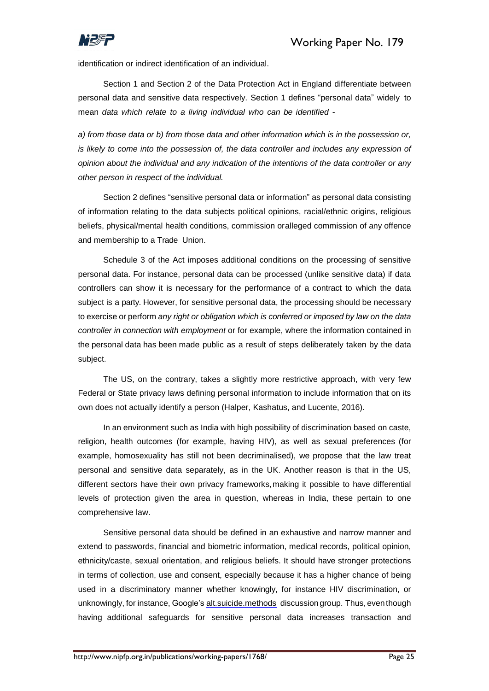

identification or indirect identification of an individual.

Section 1 and Section 2 of the Data Protection Act in England differentiate between personal data and sensitive data respectively. Section 1 defines "personal data" widely to mean *data which relate to a living individual who can be identified -*

*a) from those data or b) from those data and other information which is in the possession or, is likely to come into the possession of, the data controller and includes any expression of opinion about the individual and any indication of the intentions of the data controller or any other person in respect of the individual.*

Section 2 defines "sensitive personal data or information" as personal data consisting of information relating to the data subjects political opinions, racial/ethnic origins, religious beliefs, physical/mental health conditions, commission oralleged commission of any offence and membership to a Trade Union.

Schedule 3 of the Act imposes additional conditions on the processing of sensitive personal data. For instance, personal data can be processed (unlike sensitive data) if data controllers can show it is necessary for the performance of a contract to which the data subject is a party. However, for sensitive personal data, the processing should be necessary to exercise or perform *any right or obligation which is conferred or imposed by law on the data controller in connection with employment* or for example, where the information contained in the personal data has been made public as a result of steps deliberately taken by the data subject.

The US, on the contrary, takes a slightly more restrictive approach, with very few Federal or State privacy laws defining personal information to include information that on its own does not actually identify a person (Halper, Kashatus, and Lucente, 2016).

In an environment such as India with high possibility of discrimination based on caste, religion, health outcomes (for example, having HIV), as well as sexual preferences (for example, homosexuality has still not been decriminalised), we propose that the law treat personal and sensitive data separately, as in the UK. Another reason is that in the US, different sectors have their own privacy frameworks,making it possible to have differential levels of protection given the area in question, whereas in India, these pertain to one comprehensive law.

Sensitive personal data should be defined in an exhaustive and narrow manner and extend to passwords, financial and biometric information, medical records, political opinion, ethnicity/caste, sexual orientation, and religious beliefs. It should have stronger protections in terms of collection, use and consent, especially because it has a higher chance of being used in a discriminatory manner whether knowingly, for instance HIV discrimination, or unknowingly, for instance, Google's alt.suicide.methods discussion group. Thus, even though having additional safeguards for sensitive personal data increases transaction and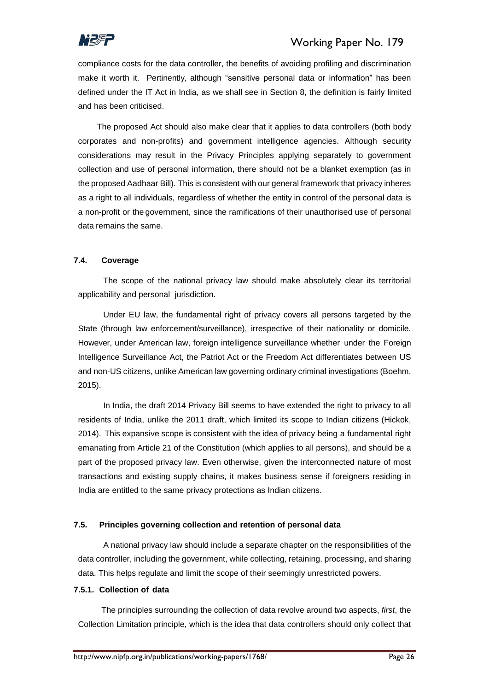

compliance costs for the data controller, the benefits of avoiding profiling and discrimination make it worth it. Pertinently, although "sensitive personal data or information" has been defined under the IT Act in India, as we shall see in Section 8, the definition is fairly limited and has been criticised.

The proposed Act should also make clear that it applies to data controllers (both body corporates and non-profits) and government intelligence agencies. Although security considerations may result in the Privacy Principles applying separately to government collection and use of personal information, there should not be a blanket exemption (as in the proposed Aadhaar Bill). This is consistent with our general framework that privacy inheres as a right to all individuals, regardless of whether the entity in control of the personal data is a non-profit or the government, since the ramifications of their unauthorised use of personal data remains the same.

### **7.4. Coverage**

The scope of the national privacy law should make absolutely clear its territorial applicability and personal jurisdiction.

Under EU law, the fundamental right of privacy covers all persons targeted by the State (through law enforcement/surveillance), irrespective of their nationality or domicile. However, under American law, foreign intelligence surveillance whether under the Foreign Intelligence Surveillance Act, the Patriot Act or the Freedom Act differentiates between US and non-US citizens, unlike American law governing ordinary criminal investigations (Boehm, 2015).

In India, the draft 2014 Privacy Bill seems to have extended the right to privacy to all residents of India, unlike the 2011 draft, which limited its scope to Indian citizens (Hickok, 2014). This expansive scope is consistent with the idea of privacy being a fundamental right emanating from Article 21 of the Constitution (which applies to all persons), and should be a part of the proposed privacy law. Even otherwise, given the interconnected nature of most transactions and existing supply chains, it makes business sense if foreigners residing in India are entitled to the same privacy protections as Indian citizens.

### **7.5. Principles governing collection and retention of personal data**

A national privacy law should include a separate chapter on the responsibilities of the data controller, including the government, while collecting, retaining, processing, and sharing data. This helps regulate and limit the scope of their seemingly unrestricted powers.

### **7.5.1. Collection of data**

 The principles surrounding the collection of data revolve around two aspects, *first*, the Collection Limitation principle, which is the idea that data controllers should only collect that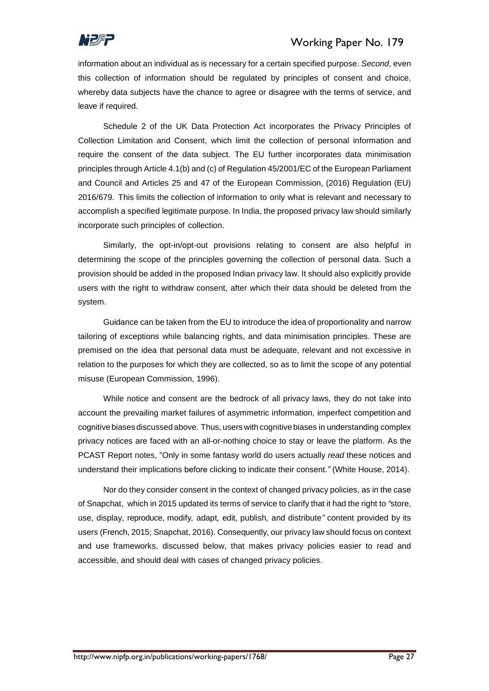

information about an individual as is necessary for a certain specified purpose. *Second*, even this collection of information should be regulated by principles of consent and choice, whereby data subjects have the chance to agree or disagree with the terms of service, and leave if required.

Schedule 2 of the UK Data Protection Act incorporates the Privacy Principles of Collection Limitation and Consent, which limit the collection of personal information and require the consent of the data subject. The EU further incorporates data minimisation principles through Article 4.1(b) and (c) of Regulation 45/2001/EC of the European Parliament and Council and Articles 25 and 47 of the European Commission, (2016) Regulation (EU) 2016/679. This limits the collection of information to only what is relevant and necessary to accomplish a specified legitimate purpose. In India, the proposed privacy law should similarly incorporate such principles of collection.

Similarly, the opt-in/opt-out provisions relating to consent are also helpful in determining the scope of the principles governing the collection of personal data. Such a provision should be added in the proposed Indian privacy law. It should also explicitly provide users with the right to withdraw consent, after which their data should be deleted from the system.

Guidance can be taken from the EU to introduce the idea of proportionality and narrow tailoring of exceptions while balancing rights, and data minimisation principles. These are premised on the idea that personal data must be adequate, relevant and not excessive in relation to the purposes for which they are collected, so as to limit the scope of any potential misuse (European Commission, 1996).

While notice and consent are the bedrock of all privacy laws, they do not take into account the prevailing market failures of asymmetric information, imperfect competition and cognitive biases discussedabove. Thus, users with cognitive biases in understanding complex privacy notices are faced with an all-or-nothing choice to stay or leave the platform. As the PCAST Report notes, "Only in some fantasy world do users actually *read* these notices and understand their implications before clicking to indicate their consent.*"* (White House, 2014).

Nor do they consider consent in the context of changed privacy policies, as in the case of Snapchat, which in 2015 updated its terms of service to clarify that it had the right to *"*store, use, display, reproduce, modify*,* adapt*,* edit, publish*,* and distribute*"* content provided by its users (French, 2015; Snapchat, 2016). Consequently, our privacy law should focus on context and use frameworks, discussed below, that makes privacy policies easier to read and accessible, and should deal with cases of changed privacy policies.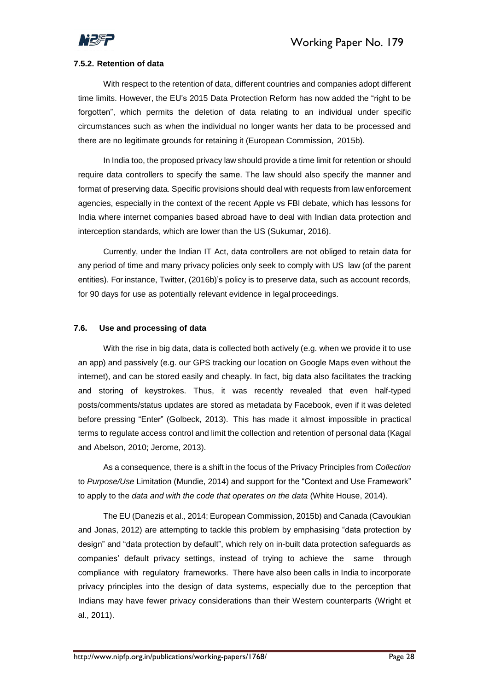

### **7.5.2. Retention of data**

With respect to the retention of data, different countries and companies adopt different time limits. However, the EU's 2015 Data Protection Reform has now added the "right to be forgotten", which permits the deletion of data relating to an individual under specific circumstances such as when the individual no longer wants her data to be processed and there are no legitimate grounds for retaining it (European Commission, 2015b).

In India too, the proposed privacy law should provide a time limit for retention or should require data controllers to specify the same. The law should also specify the manner and format of preserving data. Specific provisions should deal with requests from law enforcement agencies, especially in the context of the recent Apple vs FBI debate, which has lessons for India where internet companies based abroad have to deal with Indian data protection and interception standards, which are lower than the US (Sukumar, 2016).

Currently, under the Indian IT Act, data controllers are not obliged to retain data for any period of time and many privacy policies only seek to comply with US law (of the parent entities). For instance, Twitter, (2016b)'s policy is to preserve data, such as account records, for 90 days for use as potentially relevant evidence in legal proceedings.

#### **7.6. Use and processing of data**

With the rise in big data, data is collected both actively (e.g. when we provide it to use an app) and passively (e.g. our GPS tracking our location on Google Maps even without the internet), and can be stored easily and cheaply. In fact, big data also facilitates the tracking and storing of keystrokes. Thus, it was recently revealed that even half-typed posts/comments/status updates are stored as metadata by Facebook, even if it was deleted before pressing "Enter" (Golbeck, 2013). This has made it almost impossible in practical terms to regulate access control and limit the collection and retention of personal data (Kagal and Abelson, 2010; Jerome, 2013).

As a consequence, there is a shift in the focus of the Privacy Principles from *Collection* to *Purpose/Use* Limitation (Mundie, 2014) and support for the "Context and Use Framework" to apply to the *data and with the code that operates on the data* (White House, 2014).

The EU (Danezis et al., 2014; European Commission, 2015b) and Canada (Cavoukian and Jonas, 2012) are attempting to tackle this problem by emphasising "data protection by design" and "data protection by default", which rely on in-built data protection safeguards as companies' default privacy settings, instead of trying to achieve the same through compliance with regulatory frameworks. There have also been calls in India to incorporate privacy principles into the design of data systems, especially due to the perception that Indians may have fewer privacy considerations than their Western counterparts (Wright et al., 2011).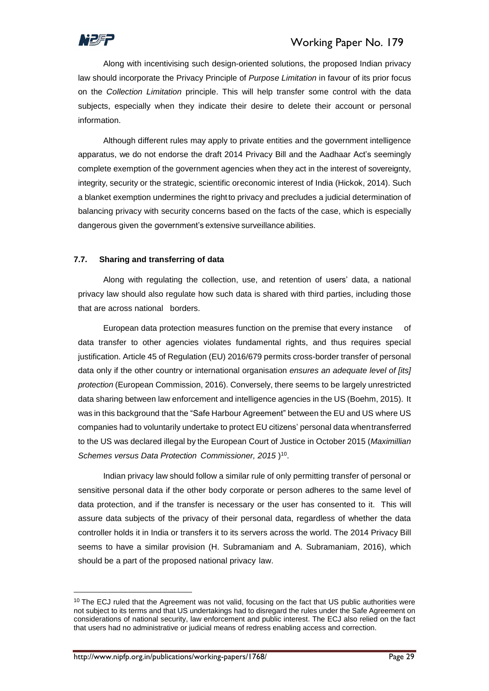

Along with incentivising such design-oriented solutions, the proposed Indian privacy law should incorporate the Privacy Principle of *Purpose Limitation* in favour of its prior focus on the *Collection Limitation* principle. This will help transfer some control with the data subjects, especially when they indicate their desire to delete their account or personal information.

Although different rules may apply to private entities and the government intelligence apparatus, we do not endorse the draft 2014 Privacy Bill and the Aadhaar Act's seemingly complete exemption of the government agencies when they act in the interest of sovereignty, integrity, security or the strategic, scientific oreconomic interest of India (Hickok, 2014). Such a blanket exemption undermines the rightto privacy and precludes a judicial determination of balancing privacy with security concerns based on the facts of the case, which is especially dangerous given the government's extensive surveillance abilities.

### **7.7. Sharing and transferring of data**

Along with regulating the collection, use, and retention of users' data, a national privacy law should also regulate how such data is shared with third parties, including those that are across national borders.

European data protection measures function on the premise that every instance of data transfer to other agencies violates fundamental rights, and thus requires special justification. Article 45 of Regulation (EU) 2016/679 permits cross-border transfer of personal data only if the other country or international organisation *ensures an adequate level of [its] protection* (European Commission, 2016). Conversely, there seems to be largely unrestricted data sharing between law enforcement and intelligence agencies in the US (Boehm, 2015). It was in this background that the "Safe Harbour Agreement" between the EU and US where US companies had to voluntarily undertake to protect EU citizens' personal data whentransferred to the US was declared illegal by the European Court of Justice in October 2015 (*Maximillian Schemes versus Data Protection Commissioner, 2015* ) 10 .

Indian privacy law should follow a similar rule of only permitting transfer of personal or sensitive personal data if the other body corporate or person adheres to the same level of data protection, and if the transfer is necessary or the user has consented to it. This will assure data subjects of the privacy of their personal data, regardless of whether the data controller holds it in India or transfers it to its servers across the world. The 2014 Privacy Bill seems to have a similar provision (H. Subramaniam and A. Subramaniam, 2016), which should be a part of the proposed national privacy law.

 $10$  The ECJ ruled that the Agreement was not valid, focusing on the fact that US public authorities were not subject to its terms and that US undertakings had to disregard the rules under the Safe Agreement on considerations of national security, law enforcement and public interest. The ECJ also relied on the fact that users had no administrative or judicial means of redress enabling access and correction.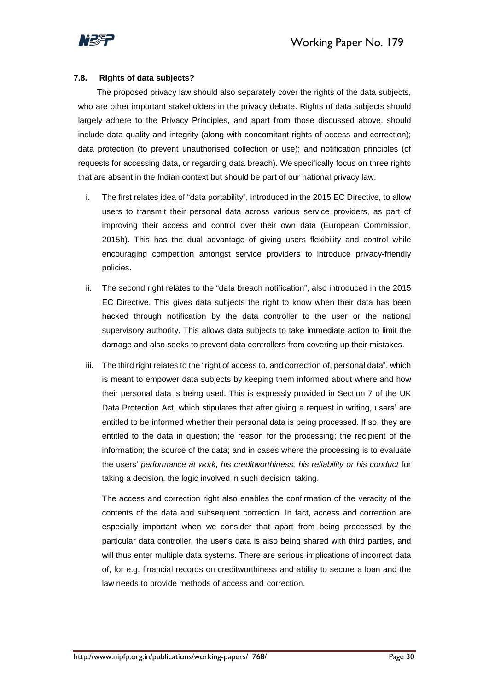

### **7.8. Rights of data subjects?**

The proposed privacy law should also separately cover the rights of the data subjects, who are other important stakeholders in the privacy debate. Rights of data subjects should largely adhere to the Privacy Principles, and apart from those discussed above, should include data quality and integrity (along with concomitant rights of access and correction); data protection (to prevent unauthorised collection or use); and notification principles (of requests for accessing data, or regarding data breach). We specifically focus on three rights that are absent in the Indian context but should be part of our national privacy law.

- i. The first relates idea of "data portability", introduced in the 2015 EC Directive, to allow users to transmit their personal data across various service providers, as part of improving their access and control over their own data (European Commission, 2015b). This has the dual advantage of giving users flexibility and control while encouraging competition amongst service providers to introduce privacy-friendly policies.
- ii. The second right relates to the "data breach notification", also introduced in the 2015 EC Directive. This gives data subjects the right to know when their data has been hacked through notification by the data controller to the user or the national supervisory authority. This allows data subjects to take immediate action to limit the damage and also seeks to prevent data controllers from covering up their mistakes.
- iii. The third right relates to the "right of access to, and correction of, personal data", which is meant to empower data subjects by keeping them informed about where and how their personal data is being used. This is expressly provided in Section 7 of the UK Data Protection Act, which stipulates that after giving a request in writing, users' are entitled to be informed whether their personal data is being processed. If so, they are entitled to the data in question; the reason for the processing; the recipient of the information; the source of the data; and in cases where the processing is to evaluate the users' *performance at work, his creditworthiness, his reliability or his conduct* for taking a decision, the logic involved in such decision taking.

The access and correction right also enables the confirmation of the veracity of the contents of the data and subsequent correction. In fact, access and correction are especially important when we consider that apart from being processed by the particular data controller, the user's data is also being shared with third parties, and will thus enter multiple data systems. There are serious implications of incorrect data of, for e.g. financial records on creditworthiness and ability to secure a loan and the law needs to provide methods of access and correction.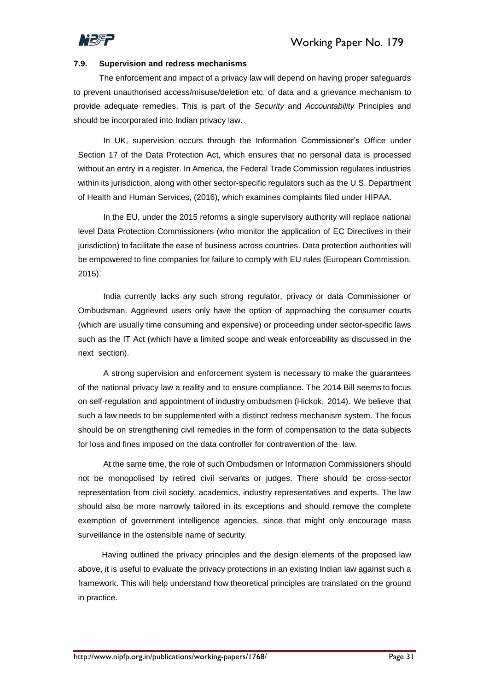

### **7.9. Supervision and redress mechanisms**

The enforcement and impact of a privacy law will depend on having proper safeguards to prevent unauthorised access/misuse/deletion etc. of data and a grievance mechanism to provide adequate remedies. This is part of the *Security* and *Accountability* Principles and should be incorporated into Indian privacy law.

In UK, supervision occurs through the Information Commissioner's Office under Section 17 of the Data Protection Act, which ensures that no personal data is processed without an entry in a register. In America, the Federal Trade Commission regulates industries within its jurisdiction, along with other sector-specific regulators such as the U.S. Department of Health and Human Services, (2016), which examines complaints filed under HIPAA.

In the EU, under the 2015 reforms a single supervisory authority will replace national level Data Protection Commissioners (who monitor the application of EC Directives in their jurisdiction) to facilitate the ease of business across countries. Data protection authorities will be empowered to fine companies for failure to comply with EU rules (European Commission, 2015).

India currently lacks any such strong regulator, privacy or data Commissioner or Ombudsman. Aggrieved users only have the option of approaching the consumer courts (which are usually time consuming and expensive) or proceeding under sector-specific laws such as the IT Act (which have a limited scope and weak enforceability as discussed in the next section).

A strong supervision and enforcement system is necessary to make the guarantees of the national privacy law a reality and to ensure compliance. The 2014 Bill seems to focus on self-regulation and appointment of industry ombudsmen (Hickok, 2014). We believe that such a law needs to be supplemented with a distinct redress mechanism system. The focus should be on strengthening civil remedies in the form of compensation to the data subjects for loss and fines imposed on the data controller for contravention of the law.

At the same time, the role of such Ombudsmen or Information Commissioners should not be monopolised by retired civil servants or judges. There should be cross-sector representation from civil society, academics, industry representatives and experts. The law should also be more narrowly tailored in its exceptions and should remove the complete exemption of government intelligence agencies, since that might only encourage mass surveillance in the ostensible name of security.

Having outlined the privacy principles and the design elements of the proposed law above, it is useful to evaluate the privacy protections in an existing Indian law against such a framework. This will help understand how theoretical principles are translated on the ground in practice.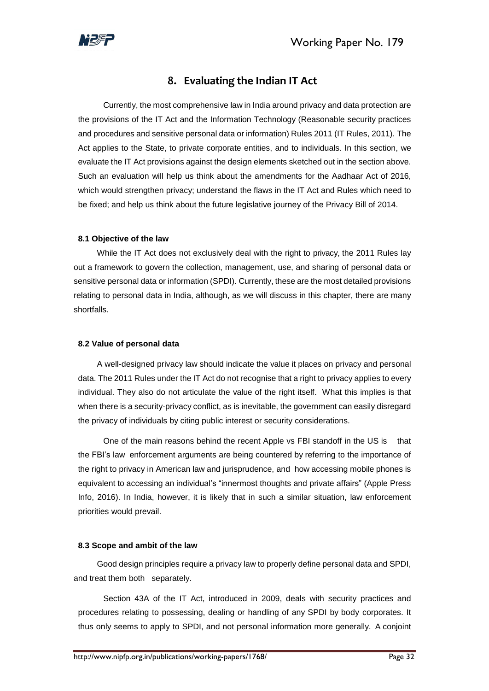

### **8. Evaluating the Indian IT Act**

Currently, the most comprehensive law in India around privacy and data protection are the provisions of the IT Act and the Information Technology (Reasonable security practices and procedures and sensitive personal data or information) Rules 2011 (IT Rules, 2011). The Act applies to the State, to private corporate entities, and to individuals. In this section, we evaluate the IT Act provisions against the design elements sketched out in the section above. Such an evaluation will help us think about the amendments for the Aadhaar Act of 2016, which would strengthen privacy; understand the flaws in the IT Act and Rules which need to be fixed; and help us think about the future legislative journey of the Privacy Bill of 2014.

### **8.1 Objective of the law**

While the IT Act does not exclusively deal with the right to privacy, the 2011 Rules lay out a framework to govern the collection, management, use, and sharing of personal data or sensitive personal data or information (SPDI). Currently, these are the most detailed provisions relating to personal data in India, although, as we will discuss in this chapter, there are many shortfalls.

### **8.2 Value of personal data**

A well-designed privacy law should indicate the value it places on privacy and personal data. The 2011 Rules under the IT Act do not recognise that a right to privacy applies to every individual. They also do not articulate the value of the right itself. What this implies is that when there is a security-privacy conflict, as is inevitable, the government can easily disregard the privacy of individuals by citing public interest or security considerations.

One of the main reasons behind the recent Apple vs FBI standoff in the US is that the FBI's law enforcement arguments are being countered by referring to the importance of the right to privacy in American law and jurisprudence, and how accessing mobile phones is equivalent to accessing an individual's "innermost thoughts and private affairs" (Apple Press Info, 2016). In India, however, it is likely that in such a similar situation, law enforcement priorities would prevail.

### **8.3 Scope and ambit of the law**

Good design principles require a privacy law to properly define personal data and SPDI, and treat them both separately.

Section 43A of the IT Act, introduced in 2009, deals with security practices and procedures relating to possessing, dealing or handling of any SPDI by body corporates. It thus only seems to apply to SPDI, and not personal information more generally. A conjoint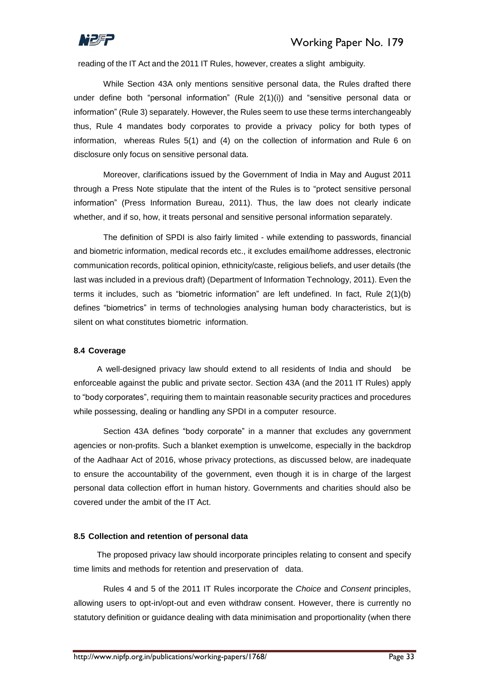

reading of the IT Act and the 2011 IT Rules, however, creates a slight ambiguity.

While Section 43A only mentions sensitive personal data, the Rules drafted there under define both "personal information" (Rule 2(1)(i)) and "sensitive personal data or information" (Rule 3) separately. However, the Rules seem to use these terms interchangeably thus, Rule 4 mandates body corporates to provide a privacy policy for both types of information, whereas Rules 5(1) and (4) on the collection of information and Rule 6 on disclosure only focus on sensitive personal data.

Moreover, clarifications issued by the Government of India in May and August 2011 through a Press Note stipulate that the intent of the Rules is to "protect sensitive personal information" (Press Information Bureau, 2011). Thus, the law does not clearly indicate whether, and if so, how, it treats personal and sensitive personal information separately.

The definition of SPDI is also fairly limited - while extending to passwords, financial and biometric information, medical records etc., it excludes email/home addresses, electronic communication records, political opinion, ethnicity/caste, religious beliefs, and user details (the last was included in a previous draft) (Department of Information Technology, 2011). Even the terms it includes, such as "biometric information" are left undefined. In fact, Rule 2(1)(b) defines "biometrics" in terms of technologies analysing human body characteristics, but is silent on what constitutes biometric information.

### **8.4 Coverage**

A well-designed privacy law should extend to all residents of India and should be enforceable against the public and private sector. Section 43A (and the 2011 IT Rules) apply to "body corporates", requiring them to maintain reasonable security practices and procedures while possessing, dealing or handling any SPDI in a computer resource.

Section 43A defines "body corporate" in a manner that excludes any government agencies or non-profits. Such a blanket exemption is unwelcome, especially in the backdrop of the Aadhaar Act of 2016, whose privacy protections, as discussed below, are inadequate to ensure the accountability of the government, even though it is in charge of the largest personal data collection effort in human history. Governments and charities should also be covered under the ambit of the IT Act.

### **8.5 Collection and retention of personal data**

The proposed privacy law should incorporate principles relating to consent and specify time limits and methods for retention and preservation of data.

Rules 4 and 5 of the 2011 IT Rules incorporate the *Choice* and *Consent* principles, allowing users to opt-in/opt-out and even withdraw consent. However, there is currently no statutory definition or guidance dealing with data minimisation and proportionality (when there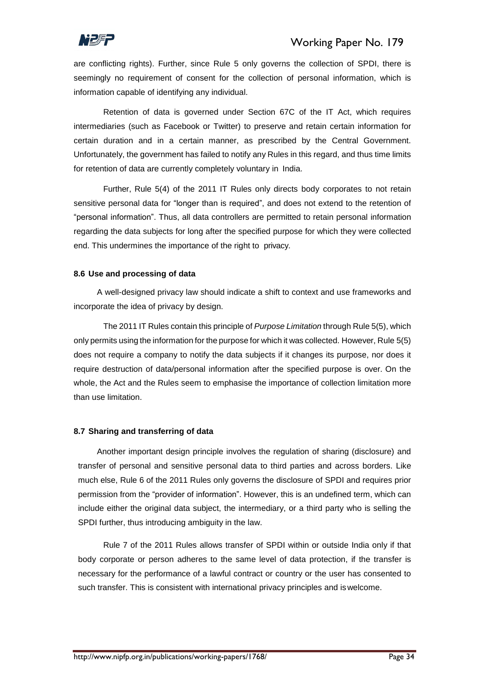

are conflicting rights). Further, since Rule 5 only governs the collection of SPDI, there is seemingly no requirement of consent for the collection of personal information, which is information capable of identifying any individual.

Retention of data is governed under Section 67C of the IT Act, which requires intermediaries (such as Facebook or Twitter) to preserve and retain certain information for certain duration and in a certain manner, as prescribed by the Central Government. Unfortunately, the government has failed to notify any Rules in this regard, and thus time limits for retention of data are currently completely voluntary in India.

Further, Rule 5(4) of the 2011 IT Rules only directs body corporates to not retain sensitive personal data for "longer than is required", and does not extend to the retention of "personal information". Thus, all data controllers are permitted to retain personal information regarding the data subjects for long after the specified purpose for which they were collected end. This undermines the importance of the right to privacy.

### **8.6 Use and processing of data**

A well-designed privacy law should indicate a shift to context and use frameworks and incorporate the idea of privacy by design.

The 2011 IT Rules contain this principle of *Purpose Limitation* through Rule 5(5), which only permits using the information for the purpose for which it was collected. However, Rule 5(5) does not require a company to notify the data subjects if it changes its purpose, nor does it require destruction of data/personal information after the specified purpose is over. On the whole, the Act and the Rules seem to emphasise the importance of collection limitation more than use limitation.

### **8.7 Sharing and transferring of data**

Another important design principle involves the regulation of sharing (disclosure) and transfer of personal and sensitive personal data to third parties and across borders. Like much else, Rule 6 of the 2011 Rules only governs the disclosure of SPDI and requires prior permission from the "provider of information". However, this is an undefined term, which can include either the original data subject, the intermediary, or a third party who is selling the SPDI further, thus introducing ambiguity in the law.

Rule 7 of the 2011 Rules allows transfer of SPDI within or outside India only if that body corporate or person adheres to the same level of data protection, if the transfer is necessary for the performance of a lawful contract or country or the user has consented to such transfer. This is consistent with international privacy principles and iswelcome.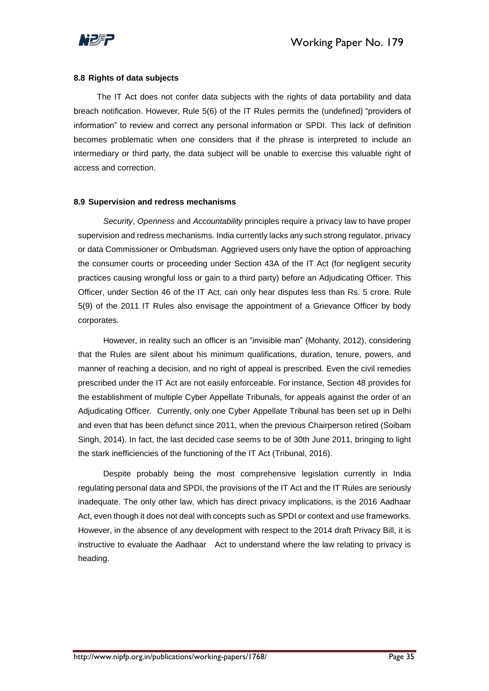

#### **8.8 Rights of data subjects**

The IT Act does not confer data subjects with the rights of data portability and data breach notification. However, Rule 5(6) of the IT Rules permits the (undefined) "providers of information" to review and correct any personal information or SPDI. This lack of definition becomes problematic when one considers that if the phrase is interpreted to include an intermediary or third party, the data subject will be unable to exercise this valuable right of access and correction.

#### **8.9 Supervision and redress mechanisms**

*Security*, *Openness* and *Accountability* principles require a privacy law to have proper supervision and redress mechanisms. India currently lacks any such strong regulator, privacy or data Commissioner or Ombudsman. Aggrieved users only have the option of approaching the consumer courts or proceeding under Section 43A of the IT Act (for negligent security practices causing wrongful loss or gain to a third party) before an Adjudicating Officer. This Officer, under Section 46 of the IT Act, can only hear disputes less than Rs. 5 crore. Rule 5(9) of the 2011 IT Rules also envisage the appointment of a Grievance Officer by body corporates.

However, in reality such an officer is an "invisible man" (Mohanty, 2012), considering that the Rules are silent about his minimum qualifications, duration, tenure, powers, and manner of reaching a decision, and no right of appeal is prescribed. Even the civil remedies prescribed under the IT Act are not easily enforceable. For instance, Section 48 provides for the establishment of multiple Cyber Appellate Tribunals, for appeals against the order of an Adjudicating Officer. Currently, only one Cyber Appellate Tribunal has been set up in Delhi and even that has been defunct since 2011, when the previous Chairperson retired (Soibam Singh, 2014). In fact, the last decided case seems to be of 30th June 2011, bringing to light the stark inefficiencies of the functioning of the IT Act (Tribunal, 2016).

Despite probably being the most comprehensive legislation currently in India regulating personal data and SPDI, the provisions of the IT Act and the IT Rules are seriously inadequate. The only other law, which has direct privacy implications, is the 2016 Aadhaar Act, even though it does not deal with concepts such as SPDI or context and use frameworks. However, in the absence of any development with respect to the 2014 draft Privacy Bill, it is instructive to evaluate the Aadhaar Act to understand where the law relating to privacy is heading.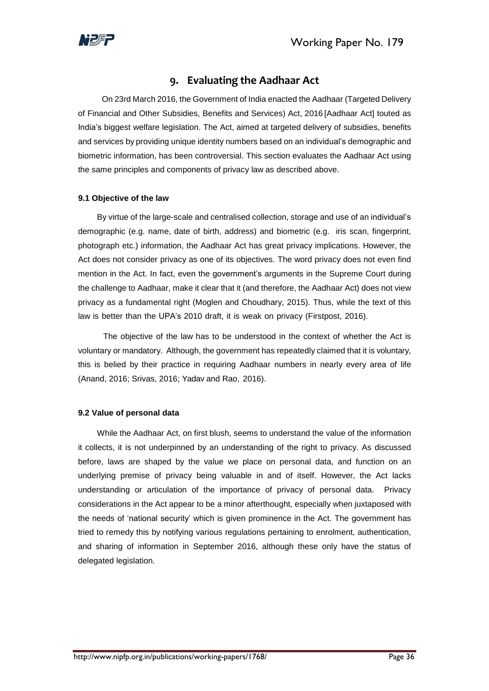

### **9. Evaluating the Aadhaar Act**

On 23rd March 2016, the Government of India enacted the Aadhaar (Targeted Delivery of Financial and Other Subsidies, Benefits and Services) Act, 2016 [Aadhaar Act] touted as India's biggest welfare legislation. The Act, aimed at targeted delivery of subsidies, benefits and services by providing unique identity numbers based on an individual's demographic and biometric information, has been controversial. This section evaluates the Aadhaar Act using the same principles and components of privacy law as described above.

### **9.1 Objective of the law**

By virtue of the large-scale and centralised collection, storage and use of an individual's demographic (e.g. name, date of birth, address) and biometric (e.g. iris scan, fingerprint, photograph etc.) information, the Aadhaar Act has great privacy implications. However, the Act does not consider privacy as one of its objectives. The word privacy does not even find mention in the Act. In fact, even the government's arguments in the Supreme Court during the challenge to Aadhaar, make it clear that it (and therefore, the Aadhaar Act) does not view privacy as a fundamental right (Moglen and Choudhary, 2015). Thus, while the text of this law is better than the UPA's 2010 draft, it is weak on privacy (Firstpost, 2016).

The objective of the law has to be understood in the context of whether the Act is voluntary or mandatory. Although, the government has repeatedly claimed that it is voluntary, this is belied by their practice in requiring Aadhaar numbers in nearly every area of life (Anand, 2016; Srivas, 2016; Yadav and Rao, 2016).

### **9.2 Value of personal data**

While the Aadhaar Act, on first blush, seems to understand the value of the information it collects, it is not underpinned by an understanding of the right to privacy. As discussed before, laws are shaped by the value we place on personal data, and function on an underlying premise of privacy being valuable in and of itself. However, the Act lacks understanding or articulation of the importance of privacy of personal data. Privacy considerations in the Act appear to be a minor afterthought, especially when juxtaposed with the needs of 'national security' which is given prominence in the Act. The government has tried to remedy this by notifying various regulations pertaining to enrolment, authentication, and sharing of information in September 2016, although these only have the status of delegated legislation.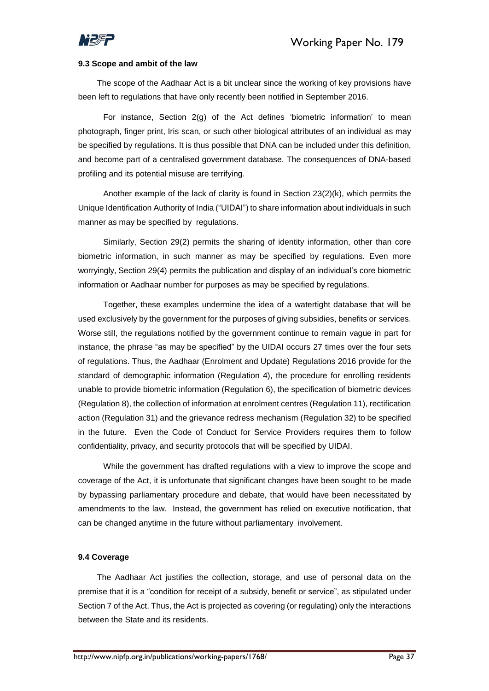

#### **9.3 Scope and ambit of the law**

The scope of the Aadhaar Act is a bit unclear since the working of key provisions have been left to regulations that have only recently been notified in September 2016.

For instance, Section 2(g) of the Act defines 'biometric information' to mean photograph, finger print, Iris scan, or such other biological attributes of an individual as may be specified by regulations. It is thus possible that DNA can be included under this definition, and become part of a centralised government database. The consequences of DNA-based profiling and its potential misuse are terrifying.

Another example of the lack of clarity is found in Section 23(2)(k), which permits the Unique Identification Authority of India ("UIDAI") to share information about individuals in such manner as may be specified by regulations.

Similarly, Section 29(2) permits the sharing of identity information, other than core biometric information, in such manner as may be specified by regulations. Even more worryingly, Section 29(4) permits the publication and display of an individual's core biometric information or Aadhaar number for purposes as may be specified by regulations.

Together, these examples undermine the idea of a watertight database that will be used exclusively by the government for the purposes of giving subsidies, benefits or services. Worse still, the regulations notified by the government continue to remain vague in part for instance, the phrase "as may be specified" by the UIDAI occurs 27 times over the four sets of regulations. Thus, the Aadhaar (Enrolment and Update) Regulations 2016 provide for the standard of demographic information (Regulation 4), the procedure for enrolling residents unable to provide biometric information (Regulation 6), the specification of biometric devices (Regulation 8), the collection of information at enrolment centres (Regulation 11), rectification action (Regulation 31) and the grievance redress mechanism (Regulation 32) to be specified in the future. Even the Code of Conduct for Service Providers requires them to follow confidentiality, privacy, and security protocols that will be specified by UIDAI.

While the government has drafted regulations with a view to improve the scope and coverage of the Act, it is unfortunate that significant changes have been sought to be made by bypassing parliamentary procedure and debate, that would have been necessitated by amendments to the law. Instead, the government has relied on executive notification, that can be changed anytime in the future without parliamentary involvement.

### **9.4 Coverage**

The Aadhaar Act justifies the collection, storage, and use of personal data on the premise that it is a "condition for receipt of a subsidy, benefit or service", as stipulated under Section 7 of the Act. Thus, the Act is projected as covering (or regulating) only the interactions between the State and its residents.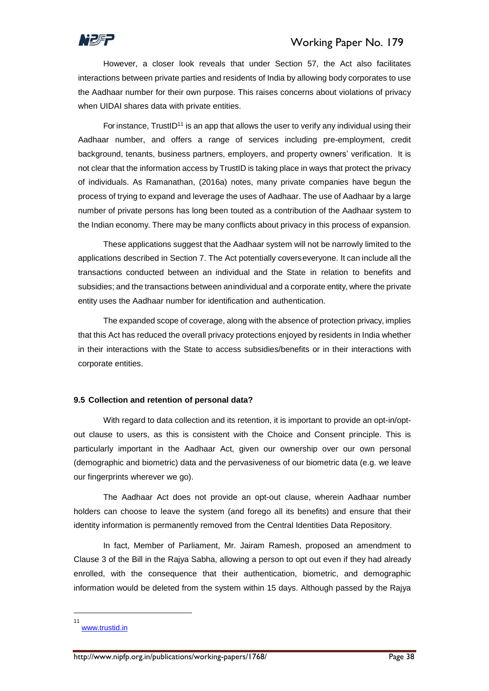

However, a closer look reveals that under Section 57, the Act also facilitates interactions between private parties and residents of India by allowing body corporates to use the Aadhaar number for their own purpose. This raises concerns about violations of privacy when UIDAI shares data with private entities.

For instance, TrustID<sup>11</sup> is an app that allows the user to verify any individual using their Aadhaar number, and offers a range of services including pre-employment, credit background, tenants, business partners, employers, and property owners' verification. It is not clear that the information access by TrustID is taking place in ways that protect the privacy of individuals. As Ramanathan, (2016a) notes, many private companies have begun the process of trying to expand and leverage the uses of Aadhaar. The use of Aadhaar by a large number of private persons has long been touted as a contribution of the Aadhaar system to the Indian economy. There may be many conflicts about privacy in this process of expansion.

These applications suggest that the Aadhaar system will not be narrowly limited to the applications described in Section 7. The Act potentially coverseveryone. It can include all the transactions conducted between an individual and the State in relation to benefits and subsidies; and the transactions between anindividual and a corporate entity, where the private entity uses the Aadhaar number for identification and authentication.

The expanded scope of coverage, along with the absence of protection privacy, implies that this Act has reduced the overall privacy protections enjoyed by residents in India whether in their interactions with the State to access subsidies/benefits or in their interactions with corporate entities.

### **9.5 Collection and retention of personal data?**

With regard to data collection and its retention, it is important to provide an opt-in/optout clause to users, as this is consistent with the Choice and Consent principle. This is particularly important in the Aadhaar Act, given our ownership over our own personal (demographic and biometric) data and the pervasiveness of our biometric data (e.g. we leave our fingerprints wherever we go).

The Aadhaar Act does not provide an opt-out clause, wherein Aadhaar number holders can choose to leave the system (and forego all its benefits) and ensure that their identity information is permanently removed from the Central Identities Data Repository.

In fact, Member of Parliament, Mr. Jairam Ramesh, proposed an amendment to Clause 3 of the Bill in the Rajya Sabha, allowing a person to opt out even if they had already enrolled, with the consequence that their authentication, biometric, and demographic information would be deleted from the system within 15 days. Although passed by the Rajya

<sup>11</sup> www.trustid.in

http://www.nipfp.org.in/publications/working-papers/1768/ Page 38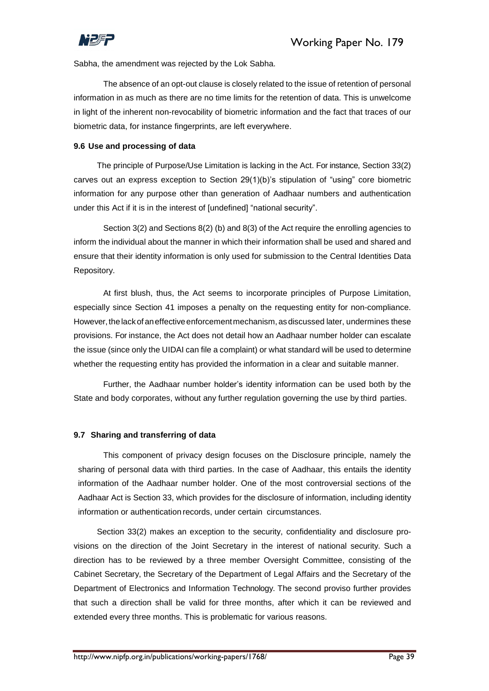

Sabha, the amendment was rejected by the Lok Sabha.

The absence of an opt-out clause is closely related to the issue of retention of personal information in as much as there are no time limits for the retention of data. This is unwelcome in light of the inherent non-revocability of biometric information and the fact that traces of our biometric data, for instance fingerprints, are left everywhere.

#### **9.6 Use and processing of data**

The principle of Purpose/Use Limitation is lacking in the Act. For instance, Section 33(2) carves out an express exception to Section 29(1)(b)'s stipulation of "using" core biometric information for any purpose other than generation of Aadhaar numbers and authentication under this Act if it is in the interest of [undefined] "national security".

Section 3(2) and Sections 8(2) (b) and 8(3) of the Act require the enrolling agencies to inform the individual about the manner in which their information shall be used and shared and ensure that their identity information is only used for submission to the Central Identities Data Repository.

At first blush, thus, the Act seems to incorporate principles of Purpose Limitation, especially since Section 41 imposes a penalty on the requesting entity for non-compliance. However, the lack of an effective enforcement mechanism, as discussed later, undermines these provisions. For instance, the Act does not detail how an Aadhaar number holder can escalate the issue (since only the UIDAI can file a complaint) or what standard will be used to determine whether the requesting entity has provided the information in a clear and suitable manner.

Further, the Aadhaar number holder's identity information can be used both by the State and body corporates, without any further regulation governing the use by third parties.

### **9.7 Sharing and transferring of data**

This component of privacy design focuses on the Disclosure principle, namely the sharing of personal data with third parties. In the case of Aadhaar, this entails the identity information of the Aadhaar number holder. One of the most controversial sections of the Aadhaar Act is Section 33, which provides for the disclosure of information, including identity information or authentication records, under certain circumstances.

Section 33(2) makes an exception to the security, confidentiality and disclosure provisions on the direction of the Joint Secretary in the interest of national security. Such a direction has to be reviewed by a three member Oversight Committee, consisting of the Cabinet Secretary, the Secretary of the Department of Legal Affairs and the Secretary of the Department of Electronics and Information Technology. The second proviso further provides that such a direction shall be valid for three months, after which it can be reviewed and extended every three months. This is problematic for various reasons.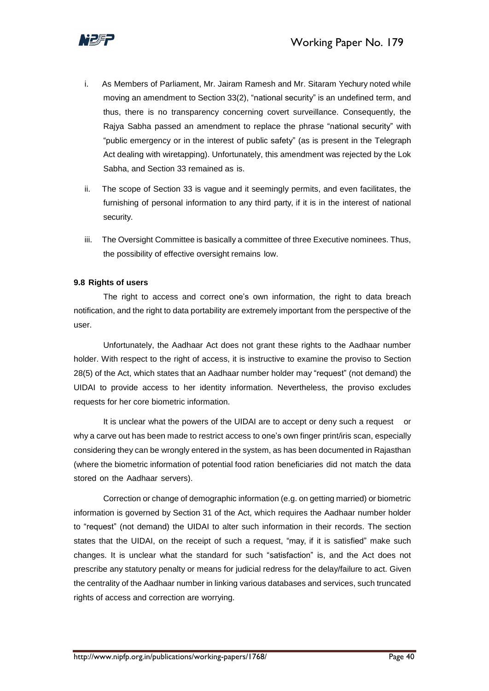

- i. As Members of Parliament, Mr. Jairam Ramesh and Mr. Sitaram Yechury noted while moving an amendment to Section 33(2), "national security" is an undefined term, and thus, there is no transparency concerning covert surveillance. Consequently, the Rajya Sabha passed an amendment to replace the phrase "national security" with "public emergency or in the interest of public safety" (as is present in the Telegraph Act dealing with wiretapping). Unfortunately, this amendment was rejected by the Lok Sabha, and Section 33 remained as is.
- ii. The scope of Section 33 is vague and it seemingly permits, and even facilitates, the furnishing of personal information to any third party, if it is in the interest of national security.
- iii. The Oversight Committee is basically a committee of three Executive nominees. Thus, the possibility of effective oversight remains low.

### **9.8 Rights of users**

The right to access and correct one's own information, the right to data breach notification, and the right to data portability are extremely important from the perspective of the user.

Unfortunately, the Aadhaar Act does not grant these rights to the Aadhaar number holder. With respect to the right of access, it is instructive to examine the proviso to Section 28(5) of the Act, which states that an Aadhaar number holder may "request" (not demand) the UIDAI to provide access to her identity information. Nevertheless, the proviso excludes requests for her core biometric information.

It is unclear what the powers of the UIDAI are to accept or deny such a request or why a carve out has been made to restrict access to one's own finger print/iris scan, especially considering they can be wrongly entered in the system, as has been documented in Rajasthan (where the biometric information of potential food ration beneficiaries did not match the data stored on the Aadhaar servers).

Correction or change of demographic information (e.g. on getting married) or biometric information is governed by Section 31 of the Act, which requires the Aadhaar number holder to "request" (not demand) the UIDAI to alter such information in their records. The section states that the UIDAI, on the receipt of such a request, "may, if it is satisfied" make such changes. It is unclear what the standard for such "satisfaction" is, and the Act does not prescribe any statutory penalty or means for judicial redress for the delay/failure to act. Given the centrality of the Aadhaar number in linking various databases and services, such truncated rights of access and correction are worrying.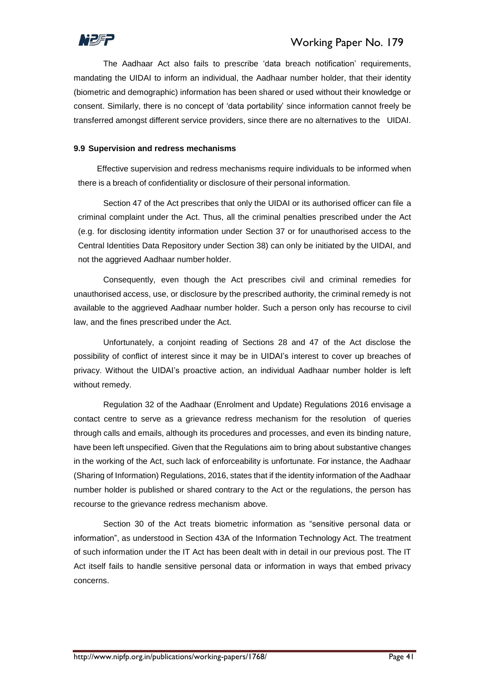

The Aadhaar Act also fails to prescribe 'data breach notification' requirements, mandating the UIDAI to inform an individual, the Aadhaar number holder, that their identity (biometric and demographic) information has been shared or used without their knowledge or consent. Similarly, there is no concept of 'data portability' since information cannot freely be transferred amongst different service providers, since there are no alternatives to the UIDAI.

### **9.9 Supervision and redress mechanisms**

Effective supervision and redress mechanisms require individuals to be informed when there is a breach of confidentiality or disclosure of their personal information.

Section 47 of the Act prescribes that only the UIDAI or its authorised officer can file a criminal complaint under the Act. Thus, all the criminal penalties prescribed under the Act (e.g. for disclosing identity information under Section 37 or for unauthorised access to the Central Identities Data Repository under Section 38) can only be initiated by the UIDAI, and not the aggrieved Aadhaar number holder.

Consequently, even though the Act prescribes civil and criminal remedies for unauthorised access, use, or disclosure by the prescribed authority, the criminal remedy is not available to the aggrieved Aadhaar number holder. Such a person only has recourse to civil law, and the fines prescribed under the Act.

Unfortunately, a conjoint reading of Sections 28 and 47 of the Act disclose the possibility of conflict of interest since it may be in UIDAI's interest to cover up breaches of privacy. Without the UIDAI's proactive action, an individual Aadhaar number holder is left without remedy.

Regulation 32 of the Aadhaar (Enrolment and Update) Regulations 2016 envisage a contact centre to serve as a grievance redress mechanism for the resolution of queries through calls and emails, although its procedures and processes, and even its binding nature, have been left unspecified. Given that the Regulations aim to bring about substantive changes in the working of the Act, such lack of enforceability is unfortunate. For instance, the Aadhaar (Sharing of Information) Regulations, 2016, states that if the identity information of the Aadhaar number holder is published or shared contrary to the Act or the regulations, the person has recourse to the grievance redress mechanism above.

Section 30 of the Act treats biometric information as "sensitive personal data or information", as understood in Section 43A of the Information Technology Act. The treatment of such information under the IT Act has been dealt with in detail in our previous post. The IT Act itself fails to handle sensitive personal data or information in ways that embed privacy concerns.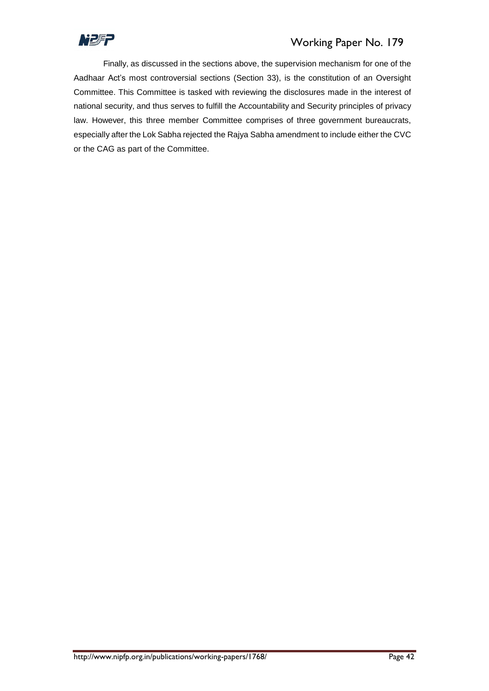

### Working Paper No. 179

Finally, as discussed in the sections above, the supervision mechanism for one of the Aadhaar Act's most controversial sections (Section 33), is the constitution of an Oversight Committee. This Committee is tasked with reviewing the disclosures made in the interest of national security, and thus serves to fulfill the Accountability and Security principles of privacy law. However, this three member Committee comprises of three government bureaucrats, especially after the Lok Sabha rejected the Rajya Sabha amendment to include either the CVC or the CAG as part of the Committee.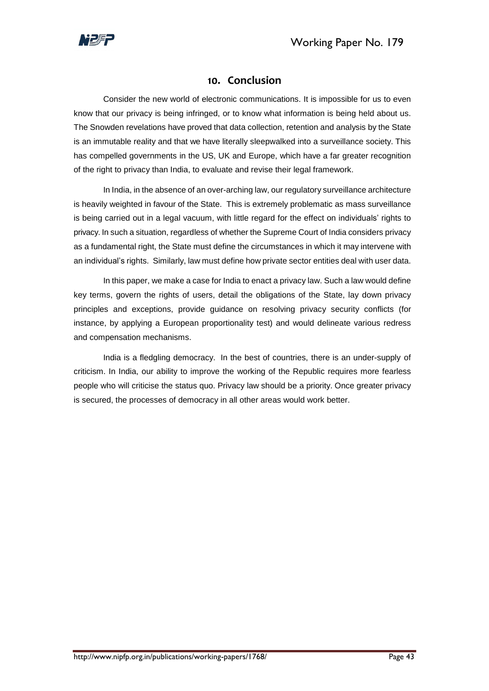

### **10. Conclusion**

Consider the new world of electronic communications. It is impossible for us to even know that our privacy is being infringed, or to know what information is being held about us. The Snowden revelations have proved that data collection, retention and analysis by the State is an immutable reality and that we have literally sleepwalked into a surveillance society. This has compelled governments in the US, UK and Europe, which have a far greater recognition of the right to privacy than India, to evaluate and revise their legal framework.

In India, in the absence of an over-arching law, our regulatory surveillance architecture is heavily weighted in favour of the State. This is extremely problematic as mass surveillance is being carried out in a legal vacuum, with little regard for the effect on individuals' rights to privacy. In such a situation, regardless of whether the Supreme Court of India considers privacy as a fundamental right, the State must define the circumstances in which it may intervene with an individual's rights. Similarly, law must define how private sector entities deal with user data.

In this paper, we make a case for India to enact a privacy law. Such a law would define key terms, govern the rights of users, detail the obligations of the State, lay down privacy principles and exceptions, provide guidance on resolving privacy security conflicts (for instance, by applying a European proportionality test) and would delineate various redress and compensation mechanisms.

India is a fledgling democracy. In the best of countries, there is an under-supply of criticism. In India, our ability to improve the working of the Republic requires more fearless people who will criticise the status quo. Privacy law should be a priority. Once greater privacy is secured, the processes of democracy in all other areas would work better.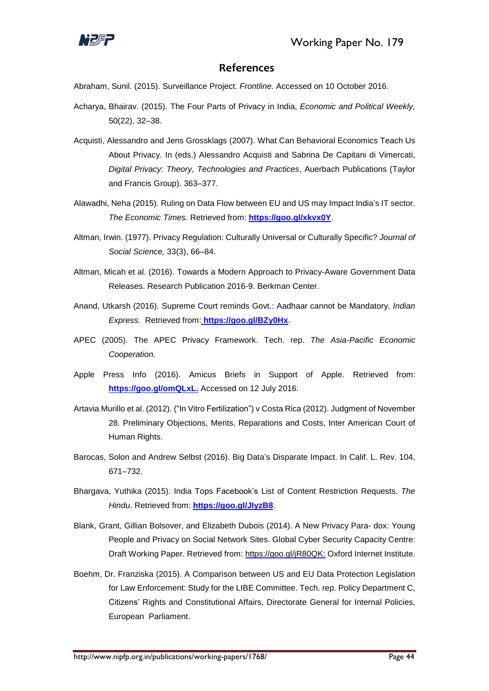

### **References**

Abraham, Sunil. (2015). Surveillance Project. *Frontline.* Accessed on 10 October 2016.

- Acharya, Bhairav. (2015). The Four Parts of Privacy in India, *Economic and Political Weekly,* 50(22), 32–38.
- Acquisti, Alessandro and Jens Grossklags (2007). What Can Behavioral Economics Teach Us About Privacy. In (eds.) Alessandro Acquisti and Sabrina De Capitani di Vimercati, *Digital Privacy: Theory, Technologies and Practices*, Auerbach Publications (Taylor and Francis Group). 363–377.
- Alawadhi, Neha (2015). Ruling on Data Flow between EU and US may Impact India's IT sector. *The Economic Times.* Retrieved from: **<https://goo.gl/xkvx0Y>**.
- Altman, Irwin. (1977). Privacy Regulation: Culturally Universal or Culturally Specific? *Journal of Social Science,* 33(3), 66–84.
- Altman, Micah et al. (2016). Towards a Modern Approach to Privacy-Aware Government Data Releases. Research Publication 2016-9. Berkman Center.
- Anand, Utkarsh (2016). Supreme Court reminds Govt.: Aadhaar cannot be Mandatory. *Indian Express.* Retrieved from: **https://goo.gl/BZy0Hx**.
- APEC (2005). The APEC Privacy Framework. Tech. rep. *The Asia-Pacific Economic Cooperation.*
- Apple Press Info (2016). Amicus Briefs in Support of Apple. Retrieved from: **<https://goo.gl/omQLxL.>** Accessed on 12 July 2016.
- Artavia Murillo et al. (2012). ("In Vitro Fertilization") v Costa Rica (2012). Judgment of November 28. Preliminary Objections, Merits, Reparations and Costs, Inter American Court of Human Rights.
- Barocas, Solon and Andrew Selbst (2016). Big Data's Disparate Impact. In Calif. L. Rev. 104, 671–732.
- Bhargava, Yuthika (2015). India Tops Facebook's List of Content Restriction Requests. *The Hindu*. Retrieved from: **<https://goo.gl/JIyzB8>**.
- Blank, Grant, Gillian Bolsover, and Elizabeth Dubois (2014). A New Privacy Para- dox: Young People and Privacy on Social Network Sites. Global Cyber Security Capacity Centre: Draft Working Paper. Retrieved from: <https://goo.gl/jR80QK:> Oxford Internet Institute.
- Boehm, Dr. Franziska (2015). A Comparison between US and EU Data Protection Legislation for Law Enforcement: Study for the LIBE Committee. Tech. rep. Policy Department C, Citizens' Rights and Constitutional Affairs, Directorate General for Internal Policies, European Parliament.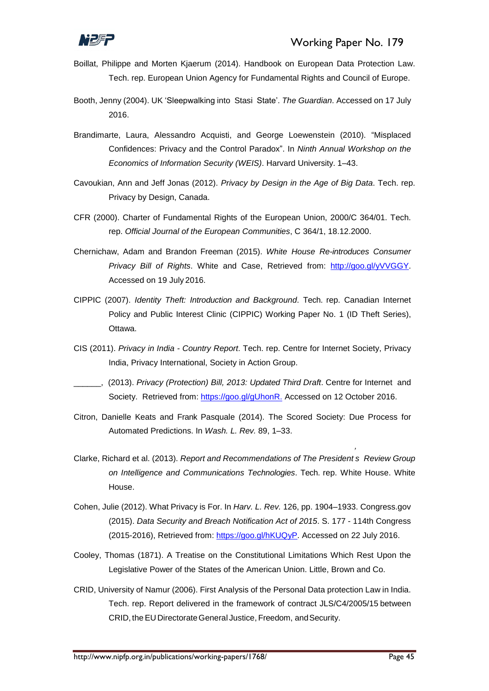

- Boillat, Philippe and Morten Kjaerum (2014). Handbook on European Data Protection Law. Tech. rep. European Union Agency for Fundamental Rights and Council of Europe.
- Booth, Jenny (2004). UK 'Sleepwalking into Stasi State'. *The Guardian*. Accessed on 17 July 2016.
- Brandimarte, Laura, Alessandro Acquisti, and George Loewenstein (2010). "Misplaced Confidences: Privacy and the Control Paradox". In *Ninth Annual Workshop on the Economics of Information Security (WEIS)*. Harvard University. 1–43.
- Cavoukian, Ann and Jeff Jonas (2012). *Privacy by Design in the Age of Big Data*. Tech. rep. Privacy by Design, Canada.
- CFR (2000). Charter of Fundamental Rights of the European Union, 2000/C 364/01. Tech. rep. *Official Journal of the European Communities*, C 364/1, 18.12.2000.
- Chernichaw, Adam and Brandon Freeman (2015). *White House Re-introduces Consumer Privacy Bill of Rights*. White and Case, Retrieved from: [http://goo.gl/yVVGGY.](http://goo.gl/yVVGGY) Accessed on 19 July 2016.
- CIPPIC (2007). *Identity Theft: Introduction and Background*. Tech. rep. Canadian Internet Policy and Public Interest Clinic (CIPPIC) Working Paper No. 1 (ID Theft Series), Ottawa.
- CIS (2011). *Privacy in India - Country Report*. Tech. rep. Centre for Internet Society, Privacy India, Privacy International, Society in Action Group.
- \_\_\_\_\_\_, (2013). *Privacy (Protection) Bill, 2013: Updated Third Draft*. Centre for Internet and Society. Retrieved from: <https://goo.gl/gUhonR.> Accessed on 12 October 2016.
- Citron, Danielle Keats and Frank Pasquale (2014). The Scored Society: Due Process for Automated Predictions. In *Wash. L. Rev.* 89, 1–33.
- Clarke, Richard et al. (2013). *Report and Recommendations of The President s Review Group on Intelligence and Communications Technologies*. Tech. rep. White House. White House.
- Cohen, Julie (2012). What Privacy is For. In *Harv. L. Rev.* 126, pp. 1904–1933. Congress.gov (2015). *Data Security and Breach Notification Act of 2015*. S. 177 - 114th Congress (2015-2016), Retrieved from: [https://goo.gl/hKUQyP.](https://goo.gl/hKUQyP) Accessed on 22 July 2016.
- Cooley, Thomas (1871). A Treatise on the Constitutional Limitations Which Rest Upon the Legislative Power of the States of the American Union. Little, Brown and Co.
- CRID, University of Namur (2006). First Analysis of the Personal Data protection Law in India. Tech. rep. Report delivered in the framework of contract JLS/C4/2005/15 between CRID, the EU Directorate General Justice, Freedom, and Security.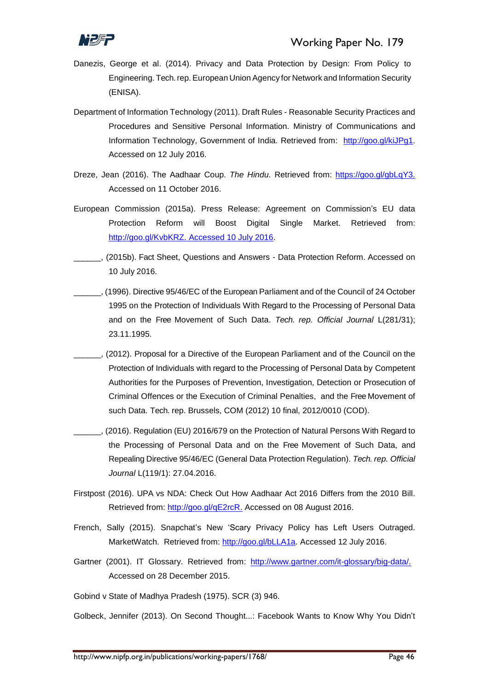

- Danezis, George et al. (2014). Privacy and Data Protection by Design: From Policy to Engineering. Tech. rep. European Union Agency for Network and Information Security (ENISA).
- Department of Information Technology (2011). Draft Rules Reasonable Security Practices and Procedures and Sensitive Personal Information. Ministry of Communications and Information Technology, Government of India. Retrieved from: [http://goo.gl/kiJPg1.](http://goo.gl/kiJPg1) Accessed on 12 July 2016.
- Dreze, Jean (2016). The Aadhaar Coup. *The Hindu.* Retrieved from: <https://goo.gl/gbLqY3.> Accessed on 11 October 2016.
- European Commission (2015a). Press Release: Agreement on Commission's EU data Protection Reform will Boost Digital Single Market. Retrieved from: [http://goo.gl/KvbKRZ.](http://goo.gl/KvbKRZ.%2520Accessed%252010%2520July%25202016) Accessed 10 July 2016.
- \_\_\_\_\_\_, (2015b). Fact Sheet, Questions and Answers Data Protection Reform. Accessed on 10 July 2016.
- \_\_\_\_\_\_, (1996). Directive 95/46/EC of the European Parliament and of the Council of 24 October 1995 on the Protection of Individuals With Regard to the Processing of Personal Data and on the Free Movement of Such Data. *Tech. rep. Official Journal* L(281/31); 23.11.1995.
- \_\_\_\_\_\_, (2012). Proposal for a Directive of the European Parliament and of the Council on the Protection of Individuals with regard to the Processing of Personal Data by Competent Authorities for the Purposes of Prevention, Investigation, Detection or Prosecution of Criminal Offences or the Execution of Criminal Penalties, and the Free Movement of such Data. Tech. rep. Brussels, COM (2012) 10 final, 2012/0010 (COD).
- \_\_\_\_\_\_, (2016). Regulation (EU) 2016/679 on the Protection of Natural Persons With Regard to the Processing of Personal Data and on the Free Movement of Such Data, and Repealing Directive 95/46/EC (General Data Protection Regulation). *Tech. rep. Official Journal* L(119/1): 27.04.2016.
- Firstpost (2016). UPA vs NDA: Check Out How Aadhaar Act 2016 Differs from the 2010 Bill. Retrieved from: <http://goo.gl/qE2rcR.> Accessed on 08 August 2016.
- French, Sally (2015). Snapchat's New 'Scary Privacy Policy has Left Users Outraged. MarketWatch. Retrieved from: [http://goo.gl/bLLA1a.](http://goo.gl/bLLA1a) Accessed 12 July 2016.
- Gartner (2001). IT Glossary. Retrieved from: [http://www.gartner.com/it-glossary/big-data/.](http://www.gartner.com/it-glossary/big-data/) Accessed on 28 December 2015.

Gobind v State of Madhya Pradesh (1975). SCR (3) 946.

Golbeck, Jennifer (2013). On Second Thought...: Facebook Wants to Know Why You Didn't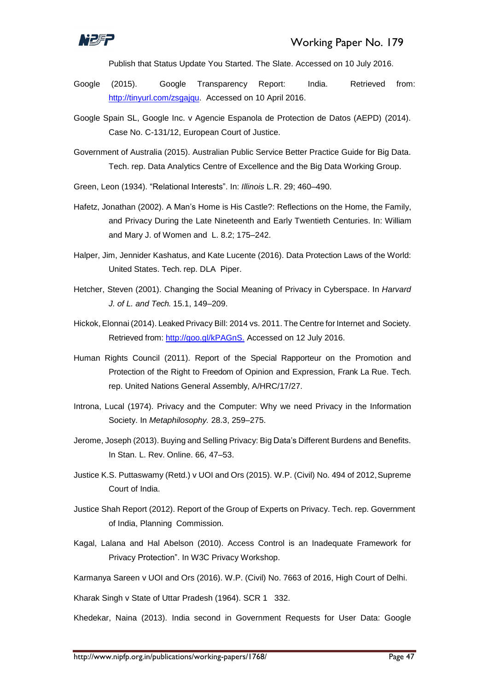

Publish that Status Update You Started. The Slate. Accessed on 10 July 2016.

- Google (2015). Google Transparency Report: India. Retrieved from: [http://tinyurl.com/zsgajqu.](http://tinyurl.com/zsgajqu) Accessed on 10 April 2016.
- Google Spain SL, Google Inc. v Agencie Espanola de Protection de Datos (AEPD) (2014). Case No. C-131/12, European Court of Justice.
- Government of Australia (2015). Australian Public Service Better Practice Guide for Big Data. Tech. rep. Data Analytics Centre of Excellence and the Big Data Working Group.
- Green, Leon (1934). "Relational Interests". In: *Illinois* L.R. 29; 460–490.
- Hafetz, Jonathan (2002). A Man's Home is His Castle?: Reflections on the Home, the Family, and Privacy During the Late Nineteenth and Early Twentieth Centuries. In: William and Mary J. of Women and L. 8.2; 175–242.
- Halper, Jim, Jennider Kashatus, and Kate Lucente (2016). Data Protection Laws of the World: United States. Tech. rep. DLA Piper.
- Hetcher, Steven (2001). Changing the Social Meaning of Privacy in Cyberspace. In *Harvard J. of L. and Tech.* 15.1, 149–209.
- Hickok, Elonnai (2014). Leaked Privacy Bill: 2014 vs. 2011. The Centre for Internet and Society. Retrieved from: [http://goo.gl/kPAGnS.](http://goo.gl/kPAGnS.%2520) Accessed on 12 July 2016.
- Human Rights Council (2011). Report of the Special Rapporteur on the Promotion and Protection of the Right to Freedom of Opinion and Expression, Frank La Rue. Tech. rep. United Nations General Assembly, A/HRC/17/27.
- Introna, Lucal (1974). Privacy and the Computer: Why we need Privacy in the Information Society. In *Metaphilosophy.* 28.3, 259–275.
- Jerome, Joseph (2013). Buying and Selling Privacy: Big Data's Different Burdens and Benefits. In Stan. L. Rev. Online. 66, 47–53.
- Justice K.S. Puttaswamy (Retd.) v UOI and Ors (2015). W.P. (Civil) No. 494 of 2012,Supreme Court of India.
- Justice Shah Report (2012). Report of the Group of Experts on Privacy. Tech. rep. Government of India, Planning Commission.
- Kagal, Lalana and Hal Abelson (2010). Access Control is an Inadequate Framework for Privacy Protection". In W3C Privacy Workshop.

Karmanya Sareen v UOI and Ors (2016). W.P. (Civil) No. 7663 of 2016, High Court of Delhi.

Kharak Singh v State of Uttar Pradesh (1964). SCR 1 332.

Khedekar, Naina (2013). India second in Government Requests for User Data: Google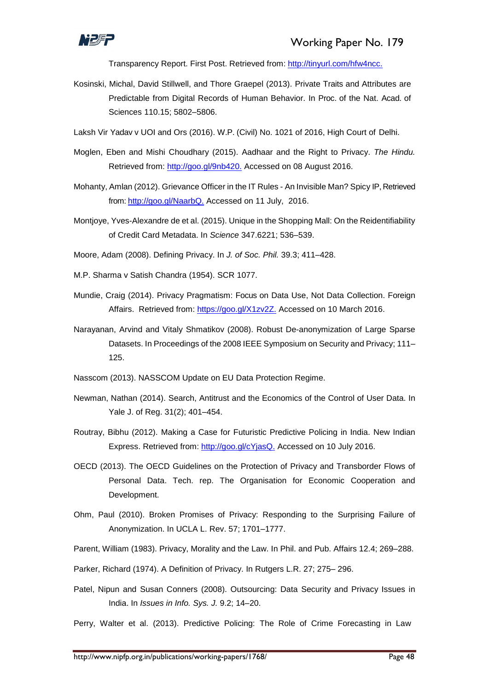

Transparency Report. First Post. Retrieved from: <http://tinyurl.com/hfw4ncc.>

- Kosinski, Michal, David Stillwell, and Thore Graepel (2013). Private Traits and Attributes are Predictable from Digital Records of Human Behavior. In Proc. of the Nat. Acad. of Sciences 110.15; 5802–5806.
- Laksh Vir Yadav v UOI and Ors (2016). W.P. (Civil) No. 1021 of 2016, High Court of Delhi.
- Moglen, Eben and Mishi Choudhary (2015). Aadhaar and the Right to Privacy. *The Hindu.* Retrieved from: <http://goo.gl/9nb420.> Accessed on 08 August 2016.
- Mohanty, Amlan (2012). Grievance Officer in the IT Rules An Invisible Man? Spicy IP, Retrieved from: <http://goo.gl/NaarbQ.> Accessed on 11 July, 2016.
- Montjoye, Yves-Alexandre de et al. (2015). Unique in the Shopping Mall: On the Reidentifiability of Credit Card Metadata. In *Science* 347.6221; 536–539.
- Moore, Adam (2008). Defining Privacy. In *J. of Soc. Phil.* 39.3; 411–428.
- M.P. Sharma v Satish Chandra (1954). SCR 1077.
- Mundie, Craig (2014). Privacy Pragmatism: Focus on Data Use, Not Data Collection. Foreign Affairs. Retrieved from: [https://goo.gl/X1zv2Z.](https://goo.gl/X1zv2Z.%2520) Accessed on 10 March 2016.
- Narayanan, Arvind and Vitaly Shmatikov (2008). Robust De-anonymization of Large Sparse Datasets. In Proceedings of the 2008 IEEE Symposium on Security and Privacy; 111– 125.
- Nasscom (2013). NASSCOM Update on EU Data Protection Regime.
- Newman, Nathan (2014). Search, Antitrust and the Economics of the Control of User Data. In Yale J. of Reg. 31(2); 401–454.
- Routray, Bibhu (2012). Making a Case for Futuristic Predictive Policing in India. New Indian Express. Retrieved from: <http://goo.gl/cYjasQ.> Accessed on 10 July 2016.
- OECD (2013). The OECD Guidelines on the Protection of Privacy and Transborder Flows of Personal Data. Tech. rep. The Organisation for Economic Cooperation and Development.
- Ohm, Paul (2010). Broken Promises of Privacy: Responding to the Surprising Failure of Anonymization. In UCLA L. Rev. 57; 1701–1777.
- Parent, William (1983). Privacy, Morality and the Law. In Phil. and Pub. Affairs 12.4; 269–288.
- Parker, Richard (1974). A Definition of Privacy. In Rutgers L.R. 27; 275– 296.
- Patel, Nipun and Susan Conners (2008). Outsourcing: Data Security and Privacy Issues in India. In *Issues in Info. Sys. J.* 9.2; 14–20.
- Perry, Walter et al. (2013). Predictive Policing: The Role of Crime Forecasting in Law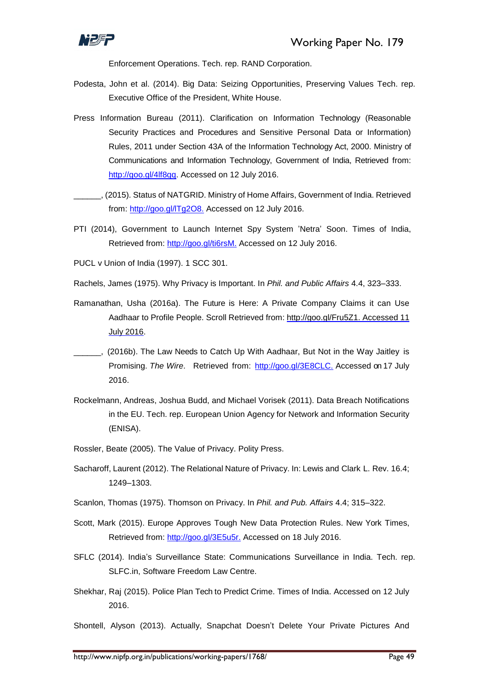

Enforcement Operations. Tech. rep. RAND Corporation.

- Podesta, John et al. (2014). Big Data: Seizing Opportunities, Preserving Values Tech. rep. Executive Office of the President, White House.
- Press Information Bureau (2011). Clarification on Information Technology (Reasonable Security Practices and Procedures and Sensitive Personal Data or Information) Rules, 2011 under Section 43A of the Information Technology Act, 2000. Ministry of Communications and Information Technology, Government of India, Retrieved from: [http://goo.gl/4lf8qq.](http://goo.gl/4lf8qq) Accessed on 12 July 2016.
- \_\_\_\_\_\_, (2015). Status of NATGRID. Ministry of Home Affairs, Government of India. Retrieved from: <http://goo.gl/lTg2O8.> Accessed on 12 July 2016.
- PTI (2014), Government to Launch Internet Spy System 'Netra' Soon. Times of India, Retrieved from: <http://goo.gl/ti6rsM.> Accessed on 12 July 2016.
- PUCL v Union of India (1997). 1 SCC 301.
- Rachels, James (1975). Why Privacy is Important. In *Phil. and Public Affairs* 4.4, 323–333.
- Ramanathan, Usha (2016a). The Future is Here: A Private Company Claims it can Use Aadhaar to Profile People. Scroll Retrieved from: [http://goo.gl/Fru5Z1.](http://goo.gl/Fru5Z1.%2520Accessed%252011%2520July%25202016) Accessed 11 July [2016.](http://goo.gl/Fru5Z1.%2520Accessed%252011%2520July%25202016)
- \_\_\_\_\_\_, (2016b). The Law Needs to Catch Up With Aadhaar, But Not in the Way Jaitley is Promising. *The Wire*. Retrieved from: <http://goo.gl/3E8CLC.> Accessed on 17 July 2016.
- Rockelmann, Andreas, Joshua Budd, and Michael Vorisek (2011). Data Breach Notifications in the EU. Tech. rep. European Union Agency for Network and Information Security (ENISA).
- Rossler, Beate (2005). The Value of Privacy. Polity Press.
- Sacharoff, Laurent (2012). The Relational Nature of Privacy. In: Lewis and Clark L. Rev. 16.4; 1249–1303.
- Scanlon, Thomas (1975). Thomson on Privacy. In *Phil. and Pub. Affairs* 4.4; 315–322.
- Scott, Mark (2015). Europe Approves Tough New Data Protection Rules. New York Times, Retrieved from: <http://goo.gl/3E5u5r.> Accessed on 18 July 2016.
- SFLC (2014). India's Surveillance State: Communications Surveillance in India. Tech. rep. SLFC.in, Software Freedom Law Centre.
- Shekhar, Raj (2015). Police Plan Tech to Predict Crime. Times of India. Accessed on 12 July 2016.
- Shontell, Alyson (2013). Actually, Snapchat Doesn't Delete Your Private Pictures And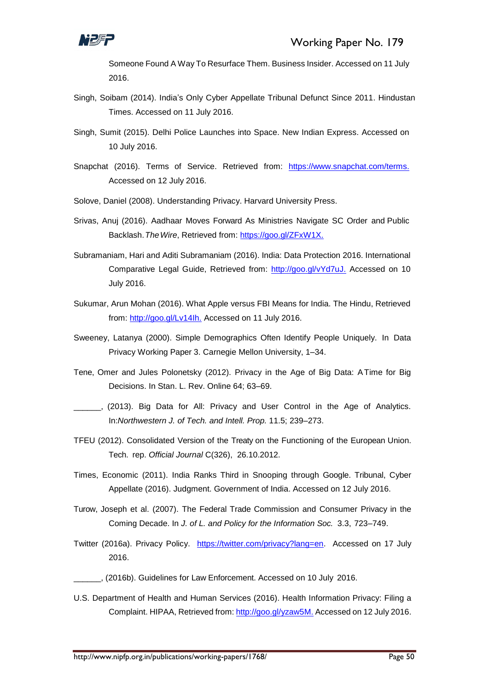

Someone Found A Way To Resurface Them. Business Insider. Accessed on 11 July 2016.

- Singh, Soibam (2014). India's Only Cyber Appellate Tribunal Defunct Since 2011. Hindustan Times. Accessed on 11 July 2016.
- Singh, Sumit (2015). Delhi Police Launches into Space. New Indian Express. Accessed on 10 July 2016.
- Snapchat (2016). Terms of Service. Retrieved from: <https://www.snapchat.com/terms.> Accessed on 12 July 2016.
- Solove, Daniel (2008). Understanding Privacy. Harvard University Press.
- Srivas, Anuj (2016). Aadhaar Moves Forward As Ministries Navigate SC Order and Public Backlash.*TheWire*, Retrieved from: <https://goo.gl/ZFxW1X.>
- Subramaniam, Hari and Aditi Subramaniam (2016). India: Data Protection 2016. International Comparative Legal Guide, Retrieved from: <http://goo.gl/vYd7uJ.> Accessed on 10 July 2016.
- Sukumar, Arun Mohan (2016). What Apple versus FBI Means for India. The Hindu, Retrieved from: <http://goo.gl/Lv14Ih.> Accessed on 11 July 2016.
- Sweeney, Latanya (2000). Simple Demographics Often Identify People Uniquely. In Data Privacy Working Paper 3. Carnegie Mellon University, 1–34.
- Tene, Omer and Jules Polonetsky (2012). Privacy in the Age of Big Data: ATime for Big Decisions. In Stan. L. Rev. Online 64; 63–69.
- \_\_\_\_\_\_, (2013). Big Data for All: Privacy and User Control in the Age of Analytics. In:*Northwestern J. of Tech. and Intell. Prop.* 11.5; 239–273.
- TFEU (2012). Consolidated Version of the Treaty on the Functioning of the European Union. Tech. rep. *Official Journal* C(326), 26.10.2012.
- Times, Economic (2011). India Ranks Third in Snooping through Google. Tribunal, Cyber Appellate (2016). Judgment. Government of India. Accessed on 12 July 2016.
- Turow, Joseph et al. (2007). The Federal Trade Commission and Consumer Privacy in the Coming Decade. In *J. of L. and Policy for the Information Soc.* 3.3, 723–749.
- Twitter (2016a). Privacy Policy. [https://twitter.com/privacy?lang=en.](https://twitter.com/privacy?lang=en) Accessed on 17 July 2016.
- \_\_\_\_\_\_, (2016b). Guidelines for Law Enforcement. Accessed on 10 July 2016.
- U.S. Department of Health and Human Services (2016). Health Information Privacy: Filing a Complaint. HIPAA, Retrieved from: <http://goo.gl/yzaw5M.> Accessed on 12 July 2016.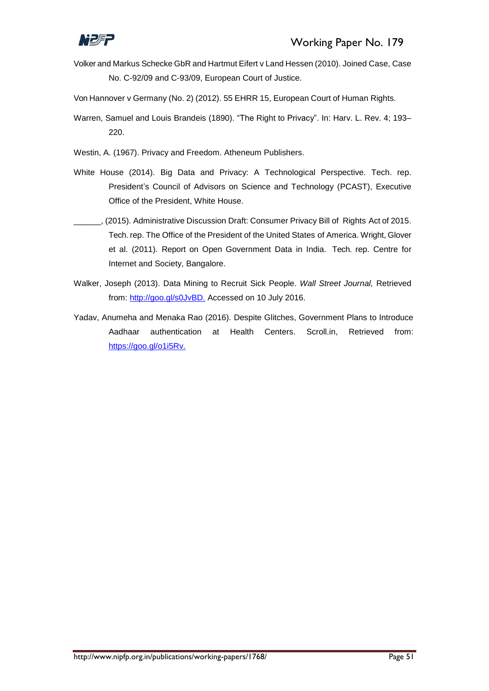

- Volker and Markus Schecke GbR and Hartmut Eifert v Land Hessen (2010). Joined Case, Case No. C-92/09 and C-93/09, European Court of Justice.
- Von Hannover v Germany (No. 2) (2012). 55 EHRR 15, European Court of Human Rights.
- Warren, Samuel and Louis Brandeis (1890). "The Right to Privacy". In: Harv. L. Rev. 4; 193– 220.
- Westin, A. (1967). Privacy and Freedom. Atheneum Publishers.
- White House (2014). Big Data and Privacy: A Technological Perspective. Tech. rep. President's Council of Advisors on Science and Technology (PCAST), Executive Office of the President, White House.
- \_\_\_\_\_\_, (2015). Administrative Discussion Draft: Consumer Privacy Bill of Rights Act of 2015. Tech. rep. The Office of the President of the United States of America. Wright, Glover et al. (2011). Report on Open Government Data in India. Tech. rep. Centre for Internet and Society, Bangalore.
- Walker, Joseph (2013). Data Mining to Recruit Sick People. *Wall Street Journal,* Retrieved from: <http://goo.gl/s0JvBD.> Accessed on 10 July 2016.
- Yadav, Anumeha and Menaka Rao (2016). Despite Glitches, Government Plans to Introduce Aadhaar authentication at Health Centers. Scroll.in, Retrieved from: <https://goo.gl/o1i5Rv.>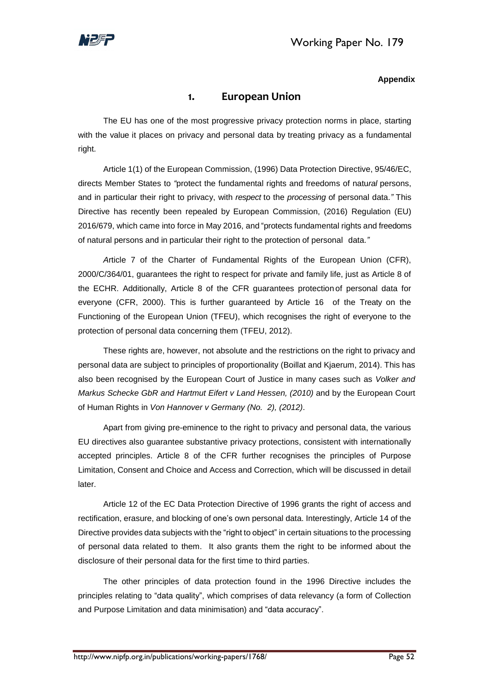

### **Appendix**

### **1. European Union**

The EU has one of the most progressive privacy protection norms in place, starting with the value it places on privacy and personal data by treating privacy as a fundamental right.

Article 1(1) of the European Commission, (1996) Data Protection Directive, 95/46/EC, directs Member States to *"*protect the fundamental rights and freedoms of natu*ral* persons, and in particular their right to privacy, with *respect* to the *processing* of personal data.*"* This Directive has recently been repealed by European Commission, (2016) Regulation (EU) 2016/679, which came into force in May 2016, and "protects fundamental rights and freedoms of natural persons and in particular their right to the protection of personal data.*"*

*A*rticle 7 of the Charter of Fundamental Rights of the European Union (CFR), 2000/C/364/01, guarantees the right to respect for private and family life, just as Article 8 of the ECHR. Additionally, Article 8 of the CFR guarantees protection of personal data for everyone (CFR, 2000). This is further guaranteed by Article 16 of the Treaty on the Functioning of the European Union (TFEU), which recognises the right of everyone to the protection of personal data concerning them (TFEU, 2012).

These rights are, however, not absolute and the restrictions on the right to privacy and personal data are subject to principles of proportionality (Boillat and Kjaerum, 2014). This has also been recognised by the European Court of Justice in many cases such as *Volker and Markus Schecke GbR and Hartmut Eifert v Land Hessen, (2010)* and by the European Court of Human Rights in *Von Hannover v Germany (No. 2), (2012)*.

Apart from giving pre-eminence to the right to privacy and personal data, the various EU directives also guarantee substantive privacy protections, consistent with internationally accepted principles. Article 8 of the CFR further recognises the principles of Purpose Limitation, Consent and Choice and Access and Correction, which will be discussed in detail later.

Article 12 of the EC Data Protection Directive of 1996 grants the right of access and rectification, erasure, and blocking of one's own personal data. Interestingly, Article 14 of the Directive provides data subjects with the "right to object" in certain situations to the processing of personal data related to them. It also grants them the right to be informed about the disclosure of their personal data for the first time to third parties.

The other principles of data protection found in the 1996 Directive includes the principles relating to "data quality", which comprises of data relevancy (a form of Collection and Purpose Limitation and data minimisation) and "data accuracy".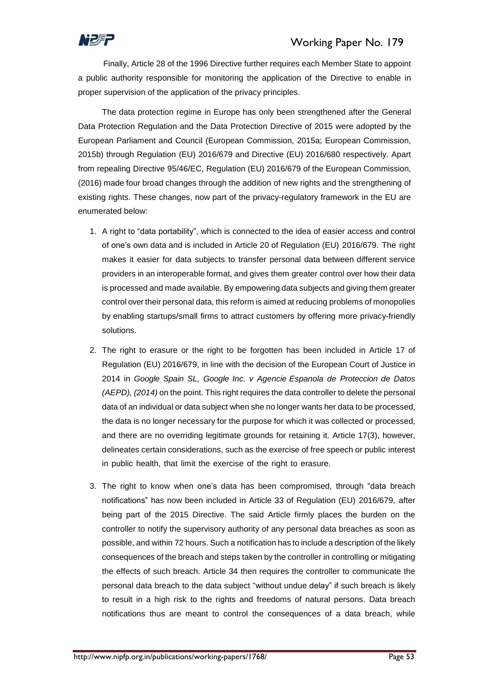

Finally, Article 28 of the 1996 Directive further requires each Member State to appoint a public authority responsible for monitoring the application of the Directive to enable in proper supervision of the application of the privacy principles.

The data protection regime in Europe has only been strengthened after the General Data Protection Regulation and the Data Protection Directive of 2015 were adopted by the European Parliament and Council (European Commission, 2015a; European Commission, 2015b) through Regulation (EU) 2016/679 and Directive (EU) 2016/680 respectively. Apart from repealing Directive 95/46/EC, Regulation (EU) 2016/679 of the European Commission, (2016) made four broad changes through the addition of new rights and the strengthening of existing rights. These changes, now part of the privacy-regulatory framework in the EU are enumerated below:

- 1. A right to "data portability", which is connected to the idea of easier access and control of one's own data and is included in Article 20 of Regulation (EU) 2016/679. The right makes it easier for data subjects to transfer personal data between different service providers in an interoperable format, and gives them greater control over how their data is processed and made available. By empowering data subjects and giving them greater control over their personal data, this reform is aimed at reducing problems of monopolies by enabling startups/small firms to attract customers by offering more privacy-friendly solutions.
- 2. The right to erasure or the right to be forgotten has been included in Article 17 of Regulation (EU) 2016/679, in line with the decision of the European Court of Justice in 2014 in *Google Spain SL, Google Inc. v Agencie Espanola de Proteccion de Datos (AEPD), (2014)* on the point. This right requires the data controller to delete the personal data of an individual or data subject when she no longer wants her data to be processed, the data is no longer necessary for the purpose for which it was collected or processed, and there are no overriding legitimate grounds for retaining it. Article 17(3), however, delineates certain considerations, such as the exercise of free speech or public interest in public health, that limit the exercise of the right to erasure.
- 3. The right to know when one's data has been compromised, through "data breach notifications" has now been included in Article 33 of Regulation (EU) 2016/679, after being part of the 2015 Directive. The said Article firmly places the burden on the controller to notify the supervisory authority of any personal data breaches as soon as possible, and within 72 hours. Such a notification has to include a description of the likely consequences of the breach and steps taken by the controller in controlling or mitigating the effects of such breach. Article 34 then requires the controller to communicate the personal data breach to the data subject "without undue delay" if such breach is likely to result in a high risk to the rights and freedoms of natural persons. Data breach notifications thus are meant to control the consequences of a data breach, while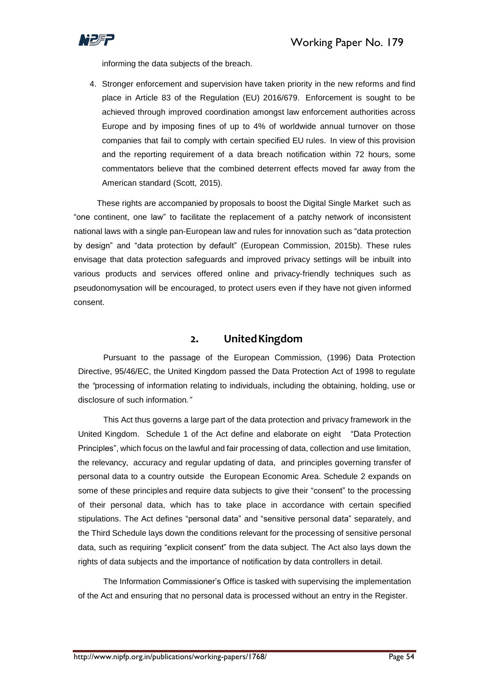

informing the data subjects of the breach.

4. Stronger enforcement and supervision have taken priority in the new reforms and find place in Article 83 of the Regulation (EU) 2016/679. Enforcement is sought to be achieved through improved coordination amongst law enforcement authorities across Europe and by imposing fines of up to 4% of worldwide annual turnover on those companies that fail to comply with certain specified EU rules. In view of this provision and the reporting requirement of a data breach notification within 72 hours, some commentators believe that the combined deterrent effects moved far away from the American standard (Scott, 2015).

These rights are accompanied by proposals to boost the Digital Single Market such as "one continent, one law" to facilitate the replacement of a patchy network of inconsistent national laws with a single pan-European law and rules for innovation such as "data protection by design" and "data protection by default" (European Commission, 2015b). These rules envisage that data protection safeguards and improved privacy settings will be inbuilt into various products and services offered online and privacy-friendly techniques such as pseudonomysation will be encouraged, to protect users even if they have not given informed consent.

### **2. UnitedKingdom**

Pursuant to the passage of the European Commission, (1996) Data Protection Directive, 95/46/EC, the United Kingdom passed the Data Protection Act of 1998 to regulate the *"*processing of information relating to individuals, including the obtaining, holding, use or disclosure of such information*."*

This Act thus governs a large part of the data protection and privacy framework in the United Kingdom. Schedule 1 of the Act define and elaborate on eight "Data Protection Principles", which focus on the lawful and fair processing of data, collection and use limitation, the relevancy, accuracy and regular updating of data, and principles governing transfer of personal data to a country outside the European Economic Area. Schedule 2 expands on some of these principles and require data subjects to give their "consent" to the processing of their personal data, which has to take place in accordance with certain specified stipulations. The Act defines "personal data" and "sensitive personal data" separately, and the Third Schedule lays down the conditions relevant for the processing of sensitive personal data, such as requiring "explicit consent" from the data subject. The Act also lays down the rights of data subjects and the importance of notification by data controllers in detail.

The Information Commissioner's Office is tasked with supervising the implementation of the Act and ensuring that no personal data is processed without an entry in the Register.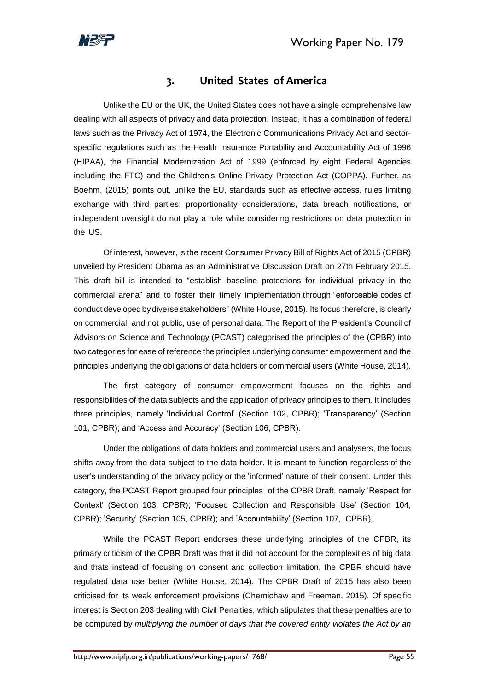

### **3. United States of America**

Unlike the EU or the UK, the United States does not have a single comprehensive law dealing with all aspects of privacy and data protection. Instead, it has a combination of federal laws such as the Privacy Act of 1974, the Electronic Communications Privacy Act and sectorspecific regulations such as the Health Insurance Portability and Accountability Act of 1996 (HIPAA), the Financial Modernization Act of 1999 (enforced by eight Federal Agencies including the FTC) and the Children's Online Privacy Protection Act (COPPA). Further, as Boehm, (2015) points out, unlike the EU, standards such as effective access, rules limiting exchange with third parties, proportionality considerations, data breach notifications, or independent oversight do not play a role while considering restrictions on data protection in the US.

Of interest, however, is the recent Consumer Privacy Bill of Rights Act of 2015 (CPBR) unveiled by President Obama as an Administrative Discussion Draft on 27th February 2015. This draft bill is intended to "establish baseline protections for individual privacy in the commercial arena" and to foster their timely implementation through "enforceable codes of conduct developed bydiverse stakeholders" (White House, 2015). Its focus therefore, is clearly on commercial, and not public, use of personal data. The Report of the President's Council of Advisors on Science and Technology (PCAST) categorised the principles of the (CPBR) into two categories for ease of reference the principles underlying consumer empowerment and the principles underlying the obligations of data holders or commercial users (White House, 2014).

The first category of consumer empowerment focuses on the rights and responsibilities of the data subjects and the application of privacy principles to them. It includes three principles, namely 'Individual Control' (Section 102, CPBR); 'Transparency' (Section 101, CPBR); and 'Access and Accuracy' (Section 106, CPBR).

Under the obligations of data holders and commercial users and analysers, the focus shifts away from the data subject to the data holder. It is meant to function regardless of the user's understanding of the privacy policy or the 'informed' nature of their consent. Under this category, the PCAST Report grouped four principles of the CPBR Draft, namely 'Respect for Context' (Section 103, CPBR); 'Focused Collection and Responsible Use' (Section 104, CPBR); 'Security' (Section 105, CPBR); and 'Accountability' (Section 107, CPBR).

While the PCAST Report endorses these underlying principles of the CPBR, its primary criticism of the CPBR Draft was that it did not account for the complexities of big data and thats instead of focusing on consent and collection limitation, the CPBR should have regulated data use better (White House, 2014). The CPBR Draft of 2015 has also been criticised for its weak enforcement provisions (Chernichaw and Freeman, 2015). Of specific interest is Section 203 dealing with Civil Penalties, which stipulates that these penalties are to be computed by *multiplying the number of days that the covered entity violates the Act by an*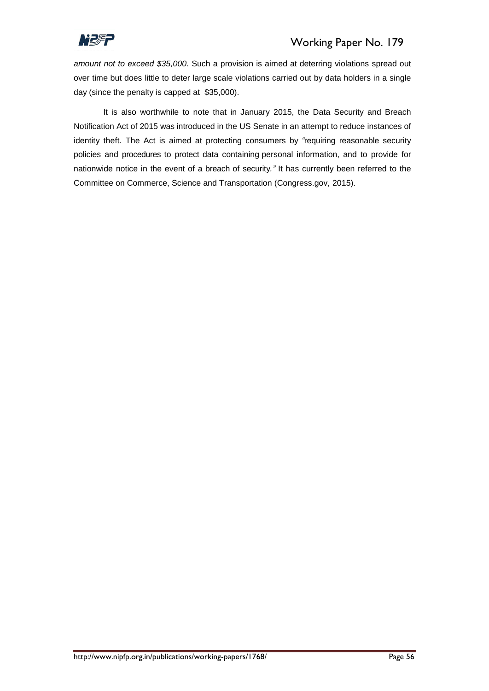



*amount not to exceed \$35,000*. Such a provision is aimed at deterring violations spread out over time but does little to deter large scale violations carried out by data holders in a single day (since the penalty is capped at \$35,000).

It is also worthwhile to note that in January 2015, the Data Security and Breach Notification Act of 2015 was introduced in the US Senate in an attempt to reduce instances of identity theft. The Act is aimed at protecting consumers by *"*requiring reasonable security policies and procedures to protect data containing personal information, and to provide for nationwide notice in the event of a breach of security*."* It has currently been referred to the Committee on Commerce, Science and Transportation (Congress.gov, 2015).